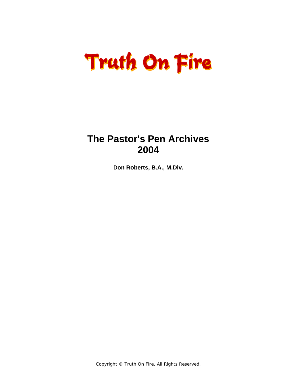### **The Pastor's Pen Archives 2004**

**Don Roberts, B.A., M.Div.** 

Copyright © Truth On Fire. All Rights Reserved.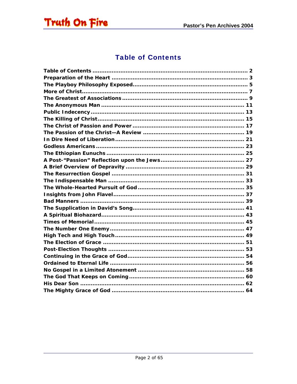<span id="page-1-0"></span>

### **Table of Contents**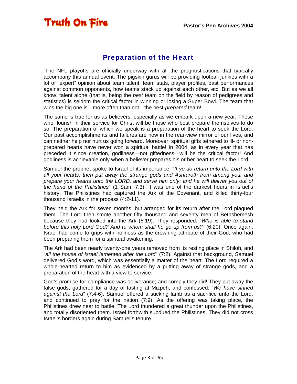### Preparation of the Heart

<span id="page-2-0"></span> The NFL playoffs are officially underway with all the prognostications that typically accompany this annual event. The pigskin gurus will be providing football junkies with a lot of "expert" opinion about team talent, team stats, player profiles, past performances against common opponents, how teams stack up against each other, etc. But as we all know, talent alone (that is, being the *best* team on the field by reason of pedigrees and statistics) is seldom the critical factor in winning or losing a Super Bowl. The team that wins the big one is—more often than not—the best-*prepared* team!

The same is true for us as believers, especially as we embark upon a new year. Those who flourish in their service for Christ will be those who best prepare themselves to do so. The preparation of which we speak is a preparation of the heart to seek the Lord. Our past accomplishments and failures are now in the rear-view mirror of our lives, and can neither help nor hurt us going forward. Moreover, spiritual gifts tethered to ill- or nonprepared hearts have never won a spiritual battle! In 2004, as in every year that has preceded it since creation, godliness—not giftedness—will be the critical factor! And godliness is achievable only when a believer prepares his or her heart to seek the Lord.

Samuel the prophet spoke to Israel of its importance: "*If ye do return unto the Lord with all your hearts, then put away the strange gods and Ashtaroth from among you, and prepare your hearts unto the LORD, and serve him only: and he will deliver you out of the hand of the Philistines*" (1 Sam. 7:3). It was one of the darkest hours in Israel's history. The Philistines had captured the Ark of the Covenant, and killed thirty-four thousand Israelis in the process (4:2-11).

They held the Ark for seven months, but arranged for its return after the Lord plagued them. The Lord then smote another fifty thousand and seventy men of Bethshemesh because they had looked into the Ark (6:19). They responded: "*Who is able to stand before this holy Lord God? And to whom shall he go up from us?*" (6:20). Once again, Israel had come to grips with holiness as the crowning attribute of their God, who had been preparing them for a spiritual awakening.

The Ark had been nearly twenty-one years removed from its resting place in Shiloh, and "*all the house of Israel lamented after the Lord*" (7:2). Against that background, Samuel delivered God's word, which was essentially a matter of the heart. The Lord required a whole-hearted return to him as evidenced by a putting away of strange gods, and a preparation of the heart with a view to service.

God's promise for compliance was deliverance; and comply they did! They put away the false gods, gathered for a day of fasting at Mizpeh, and confessed: "*We have sinned against the Lord*" (7:4-6). Samuel offered a sucking lamb as a sacrifice unto the Lord, and continued to pray for the nation (7:9). As the offering was taking place, the Philistines drew near to battle. The Lord thundered a great thunder upon the Philistines, and totally disoriented them. Israel forthwith subdued the Philistines. They did not cross Israel's borders again during Samuel's tenure.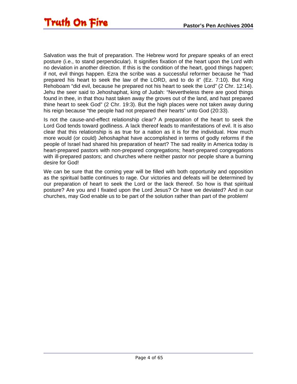Salvation was the fruit of preparation. The Hebrew word for *prepare* speaks of an erect posture (i.e., to stand perpendicular). It signifies fixation of the heart upon the Lord with no deviation in another direction. If this is the condition of the heart, good things happen; if not, evil things happen. Ezra the scribe was a successful reformer because he "had prepared his heart to seek the law of the LORD, and to do it" (Ez. 7:10). But King Rehoboam "did evil, because he prepared not his heart to seek the Lord" (2 Chr. 12:14). Jehu the seer said to Jehoshaphat, king of Judah: "Nevertheless there are good things found in thee, in that thou hast taken away the groves out of the land, and hast prepared thine heart to seek God" (2 Chr. 19:3). But the high places were not taken away during his reign because "the people had not prepared their hearts" unto God (20:33).

Is not the cause-and-effect relationship clear? A preparation of the heart to seek the Lord God tends toward godliness. A lack thereof leads to manifestations of evil. It is also clear that this relationship is as true for a nation as it is for the individual. How much more would (or could) Jehoshaphat have accomplished in terms of godly reforms if the people of Israel had shared his preparation of heart? The sad reality in America today is heart-prepared pastors with non-prepared congregations; heart-prepared congregations with ill-prepared pastors; and churches where neither pastor nor people share a burning desire for God!

We can be sure that the coming year will be filled with both opportunity and opposition as the spiritual battle continues to rage. Our victories and defeats will be determined by our preparation of heart to seek the Lord or the lack thereof. So how is that spiritual posture? Are you and I fixated upon the Lord Jesus? Or have we deviated? And in our churches, may God enable us to be part of the solution rather than part of the problem!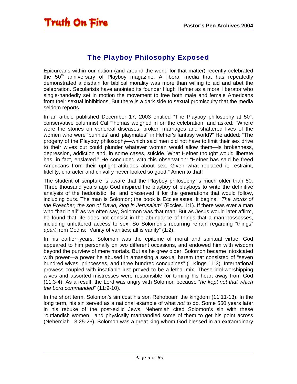### The Playboy Philosophy Exposed

<span id="page-4-0"></span>Epicureans within our nation (and around the world for that matter) recently celebrated the  $50<sup>th</sup>$  anniversary of Playboy magazine. A liberal media that has repeatedly demonstrated a disdain for biblical morality was more than willing to aid and abet the celebration. Secularists have anointed its founder Hugh Hefner as a moral liberator who single-handedly set in motion the movement to free both male and female Americans from their sexual inhibitions. But there is a dark side to sexual promiscuity that the media seldom reports.

In an article published December 17, 2003 entitled "The Playboy philosophy at 50", conservative columnist Cal Thomas weighed in on the celebration, and asked: "Where were the stories on venereal diseases, broken marriages and shattered lives of the women who were 'bunnies' and 'playmates'' in Hefner's fantasy world?" He added: "The progeny of the Playboy philosophy—which said men did not have to limit their sex drive to their wives but could plunder whatever woman would allow them—is brokenness, depression, addiction and, in some cases, suicide. What Hefner thought would liberate has, in fact, enslaved." He concluded with this observation: "Hefner has said he freed Americans from their uptight attitudes about sex. Given what replaced it, restraint, fidelity, character and chivalry never looked so good." Amen to that!

The student of scripture is aware that the Playboy philosophy is much older than 50. Three thousand years ago God inspired the playboy of playboys to write the definitive analysis of the hedonistic life, and preserved it for the generations that would follow, including ours. The man is Solomon; the book is Ecclesiastes. It begins: "*The words of the Preacher, the son of David, king in Jerusalem*" (Eccles. 1:1). If there was ever a man who "had it all" as we often say, Solomon was that man! But as Jesus would later affirm, he found that life does not consist in the abundance of things that a man possesses, including unfettered access to sex. So Solomon's recurring refrain regarding "things" *apart* from God is: "Vanity of vanities; all is vanity" (1:2).

In his earlier years, Solomon was the epitome of moral and spiritual virtue. God appeared to him personally on two different occasions, and endowed him with wisdom beyond the purview of mere mortals. But as he grew older, Solomon became intoxicated with power—a power he abused in amassing a sexual harem that consisted of "seven hundred wives, princesses, and three hundred concubines" (1 Kings 11:3). International prowess coupled with insatiable lust proved to be a lethal mix. These idol-worshipping wives and assorted mistresses were responsible for turning his heart away from God (11:3-4). As a result, the Lord was angry with Solomon because "*he kept not that which the Lord commanded*" (11:9-10).

In the short term, Solomon's sin cost his son Rehoboam the kingdom (11:11-13). In the long term, his sin served as a national example of what *not* to do. Some 550 years later in his rebuke of the post-exilic Jews, Nehemiah cited Solomon's sin with these "outlandish women," and physically manhandled some of them to get his point across (Nehemiah 13:25-26). Solomon was a great king whom God blessed in an extraordinary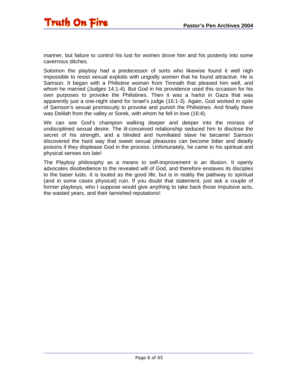manner, but failure to control his lust for women drove him and his posterity into some cavernous ditches.

Solomon the playboy had a predecessor of sorts who likewise found it well nigh impossible to resist sexual exploits with ungodly women that he found attractive. He is Samson. It began with a Philistine woman from Timnath that pleased him well, and whom he married (Judges 14:1-4). But God in his providence used this occasion for his own purposes to provoke the Philistines. Then it was a harlot in Gaza that was apparently just a one-night stand for Israel's judge (16:1-3). Again, God worked in spite of Samson's sexual promiscuity to provoke and punish the Philistines. And finally there was Delilah from the valley or Sorek, with whom he fell in love (16:4).

We can see God's champion walking deeper and deeper into the morass of undisciplined sexual desire. The ill-conceived relationship seduced him to disclose the secret of his strength, and a blinded and humiliated slave he became! Samson discovered the hard way that sweet sexual pleasures can become bitter and deadly poisons if they displease God in the process. Unfortunately, he came to his spiritual and physical senses too late!

The Playboy philosophy as a means to self-improvement is an illusion. It openly advocates disobedience to the revealed will of God, and therefore enslaves its disciples to the baser lusts. It is touted as the good life, but is in reality the pathway to spiritual (and in some cases physical) ruin. If you doubt that statement, just ask a couple of former playboys, who I suppose would give anything to take back those impulsive acts, the wasted years, and their tarnished reputations!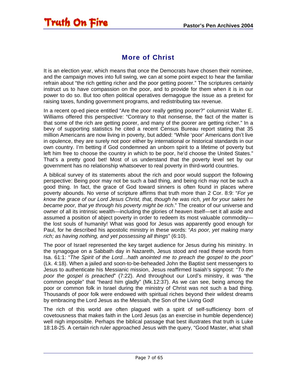### More of Christ

<span id="page-6-0"></span>It is an election year, which means that once the Democrats have chosen their nominee, and the campaign moves into full swing, we can at some point expect to hear the familiar refrain about "the rich getting richer and the poor getting poorer." The scriptures certainly instruct us to have compassion on the poor, and to provide for them when it is in our power to do so. But too often political operatives demagogue the issue as a pretext for raising taxes, funding government programs, and redistributing tax revenue.

In a recent op-ed piece entitled "Are the poor really getting poorer?" columnist Walter E. Williams offered this perspective: "Contrary to that nonsense, the fact of the matter is that some of the rich are getting poorer, and many of the poorer are getting richer." In a bevy of supporting statistics he cited a recent Census Bureau report stating that 35 million Americans are now living in poverty, but added: "While 'poor' Americans don't live in opulence, they are surely not poor either by international or historical standards in our own country. I'm betting if God condemned an unborn spirit to a lifetime of poverty but left him free to choose the country in which to be poor, he'd choose the United States." That's a pretty good bet! Most of us understand that the poverty level set by our government has no relationship whatsoever to real poverty in third-world countries.

A biblical survey of its statements about the rich and poor would support the following perspective: Being poor may not be such a bad thing, and being rich may not be such a good thing. In fact, the grace of God toward sinners is often found in places where poverty abounds. No verse of scripture affirms that truth more than 2 Cor. 8:9: "*For ye know the grace of our Lord Jesus Christ, that, though he was rich, yet for your sakes he became poor, that ye through his poverty might be rich*." The creator of our universe and owner of all its intrinsic wealth—including the glories of heaven itself—set it all aside and assumed a position of abject poverty in order to redeem its most valuable commodity the lost souls of humanity! What was good for Jesus was apparently good enough for Paul, for he described his apostolic ministry in these words: "*As poor, yet making many rich; as having nothing, and yet possessing all things*" (6:10).

The poor of Israel represented the key target audience for Jesus during his ministry. In the synagogue on a Sabbath day in Nazareth, Jesus stood and read these words from Isa. 61:1: "*The Spirit of the Lord…hath anointed me to preach the gospel to the poor*" (Lk. 4:18). When a jailed and soon-to-be-beheaded John the Baptist sent messengers to Jesus to authenticate his Messianic mission, Jesus reaffirmed Isaiah's signpost: "*To the poor the gospel is preached*" (7:22). And throughout our Lord's ministry, it was "the common people" that "heard him gladly" (Mk.12:37). As we can see, being among the poor or common folk in Israel during the ministry of Christ was not such a bad thing. Thousands of poor folk were endowed with spiritual riches beyond their wildest dreams by embracing the Lord Jesus as the Messiah, the Son of the Living God!

The rich of this world are often plagued with a spirit of self-sufficiency born of covetousness that makes faith in the Lord Jesus (as an exercise in humble dependence) well nigh impossible. Perhaps the biblical passage that best illustrates that truth is Luke 18:18-25. A certain rich ruler approached Jesus with the query, "Good Master, what shall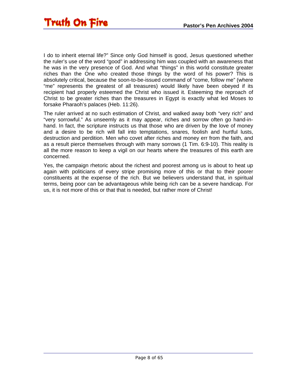I do to inherit eternal life?" Since only God himself is good, Jesus questioned whether the ruler's use of the word "good" in addressing him was coupled with an awareness that he was in the very presence of God. And what "things" in this world constitute greater riches than the One who created those things by the word of his power? This is absolutely critical, because the soon-to-be-issued command of "come, follow me" (where "me" represents the greatest of all treasures) would likely have been obeyed if its recipient had properly esteemed the Christ who issued it. Esteeming the reproach of Christ to be greater riches than the treasures in Egypt is exactly what led Moses to forsake Pharaoh's palaces (Heb. 11:26).

The ruler arrived at no such estimation of Christ, and walked away both "very rich" and "very sorrowful." As unseemly as it may appear, riches and sorrow often go hand-inhand. In fact, the scripture instructs us that those who are driven by the love of money and a desire to be rich will fall into temptations, snares, foolish and hurtful lusts, destruction and perdition. Men who covet after riches and money err from the faith, and as a result pierce themselves through with many sorrows (1 Tim. 6:9-10). This reality is all the more reason to keep a vigil on our hearts where the treasures of this earth are concerned.

Yes, the campaign rhetoric about the richest and poorest among us is about to heat up again with politicians of every stripe promising more of this or that to their poorer constituents at the expense of the rich. But we believers understand that, in spiritual terms, being poor can be advantageous while being rich can be a severe handicap. For us, it is not more of this or that that is needed, but rather more of Christ!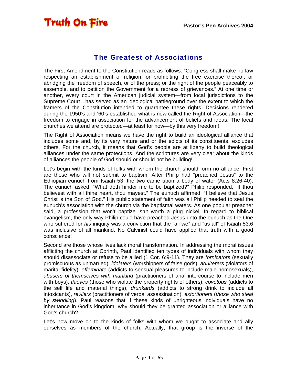#### The Greatest of Associations

<span id="page-8-0"></span>The First Amendment to the Constitution reads as follows: "Congress shall make no law respecting an establishment of religion, or prohibiting the free exercise thereof; or abridging the freedom of speech, or of the press; or the right of the people peaceably to assemble, and to petition the Government for a redress of grievances." At one time or another, every court in the American judicial system—from local jurisdictions to the Supreme Court—has served as an ideological battleground over the extent to which the framers of the Constitution intended to guarantee these rights. Decisions rendered during the 1950's and '60's established what is now called the Right of Association—the freedom to engage in association for the advancement of beliefs and ideas. The local churches we attend are protected—at least for now—by this very freedom!

The Right of Association means we have the right to build an ideological alliance that includes some and, by its very nature and or the edicts of its constituents, excludes others. For the church, it means that God's people are at liberty to build theological alliances under the same protections. And the scriptures are very clear about the kinds of alliances the people of God should or should not be building!

Let's begin with the kinds of folks with whom the church should form no alliance. First are those who will not submit to baptism. After Philip had "preached Jesus" to the Ethiopian eunuch from Isaiah 53, the two came upon a body of water (Acts 8:26-40). The eunuch asked, "What doth hinder me to be baptized?" Philip responded, "If thou believest with all thine heart, thou mayest." The eunuch affirmed, "I believe that Jesus Christ is the Son of God." His public statement of faith was all Philip needed to seal the eunuch's association with the church via the baptismal waters. As one popular preacher said, a profession that won't baptize isn't worth a plug nickel. In regard to biblical evangelism, the only way Philip could have preached Jesus unto the eunuch as the One who suffered for *his* iniquity was a conviction that the "all we" and "us all" of Isaiah 53:6 was inclusive of all mankind. No Calvinist could have applied that truth with a good conscience!

Second are those whose lives lack moral transformation. In addressing the moral issues afflicting the church at Corinth, Paul identified ten types of individuals with whom they should disassociate or refuse to be allied (1 Cor. 6:9-11). They are *fornicators* (sexually promiscuous as unmarried), *idolaters* (worshippers of false gods), *adulterers* (violators of marital fidelity), *effeminate* (addicts to sensual pleasures to include male homosexuals), *abusers of themselves with mankind* (practitioners of anal intercourse to include men with boys), *thieves* (those who violate the property rights of others), *covetous* (addicts to the self life and material things), *drunkards* (addicts to strong drink to include all intoxicants), *revilers* (practitioners of verbal assassination), *extortioners* (*those who steal by swindling*). Paul reasons that if these kinds of unrighteous individuals have no inheritance in God's kingdom, why should they be granted association or alliance with God's church?

Let's now move on to the kinds of folks with whom we ought to associate and ally ourselves as members of the church. Actually, that group is the inverse of the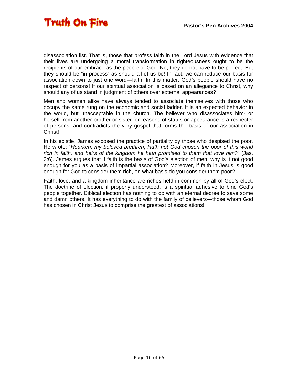disassociation list. That is, those that profess faith in the Lord Jesus with evidence that their lives are undergoing a moral transformation in righteousness ought to be the recipients of our embrace as the people of God. No, they do not have to be perfect. But they should be "in process" as should all of us be! In fact, we can reduce our basis for association down to just one word—faith! In this matter, God's people should have no respect of persons! If our spiritual association is based on an allegiance to Christ, why should any of us stand in judgment of others over external appearances?

Men and women alike have always tended to associate themselves with those who occupy the same rung on the economic and social ladder. It is an expected behavior in the world, but unacceptable in the church. The believer who disassociates him- or herself from another brother or sister for reasons of status or appearance is a respecter of persons, and contradicts the very gospel that forms the basis of our association in Christ!

In his epistle, James exposed the practice of partiality by those who despised the poor. He wrote: "*Hearken, my beloved brethren, Hath not God chosen the poor of this world rich in faith, and heirs of the kingdom he hath promised to them that love him?*" (Jas. 2:6). James argues that if faith is the basis of God's election of men, why is it not good enough for you as a basis of impartial association? Moreover, if faith in Jesus is good enough for God to consider them rich, on what basis do you consider them poor?

Faith, love, and a kingdom inheritance are riches held in common by all of God's elect. The doctrine of election, if properly understood, is a spiritual adhesive to bind God's people together. Biblical election has nothing to do with an eternal decree to save some and damn others. It has everything to do with the family of believers—those whom God has chosen in Christ Jesus to comprise the greatest of associations!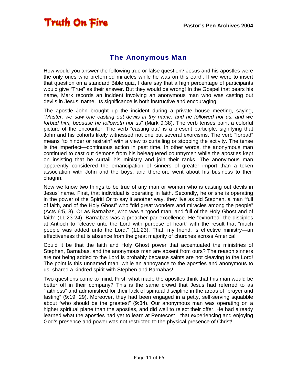#### The Anonymous Man

<span id="page-10-0"></span>How would you answer the following true or false question? Jesus and his apostles were the only ones who preformed miracles while he was on this earth. If we were to insert that question on a standard Bible quiz, I dare say that a high percentage of participants would give "True" as their answer. But they would be wrong! In the Gospel that bears his name, Mark records an incident involving an anonymous man who was casting out devils in Jesus' name. Its significance is both instructive and encouraging.

The apostle John brought up the incident during a private house meeting, saying, "*Master, we saw one casting out devils in thy name, and he followed not us: and we forbad him, because he followeth not us*" (Mark 9:38). The verb tenses paint a colorful picture of the encounter. The verb "casting out" is a present participle, signifying that John and his cohorts likely witnessed not one but several exorcisms. The verb "forbad" means "to hinder or restrain" with a view to curtailing or stopping the activity. The tense is the imperfect—continuous action in past time. In other words, the anonymous man continued to cast out demons from his beleaguered countrymen while the apostles kept on insisting that he curtail his ministry and join their ranks. The anonymous man apparently considered the emancipation of sinners of greater import than a token association with John and the boys, and therefore went about his business to their chagrin.

Now we know two things to be true of any man or woman who is casting out devils in Jesus' name. First, that individual is operating in faith. Secondly, he or she is operating in the power of the Spirit! Or to say it another way, they live as did Stephen, a man "full of faith, and of the Holy Ghost" who "did great wonders and miracles among the people" (Acts 6:5, 8). Or as Barnabas, who was a "good man, and full of the Holy Ghost and of faith" (11:23-24). Barnabas was a preacher par excellence. He "exhorted" the disciples at Antioch to "cleave unto the Lord with purpose of heart" with the result that "much people was added unto the Lord." (11:23). That, my friend, is effective ministry—an effectiveness that is absence from the great majority of churches across America!

Could it be that the faith and Holy Ghost power that accentuated the ministries of Stephen, Barnabas, and the anonymous man are absent from ours? The reason sinners are not being added to the Lord is probably because saints are not cleaving to the Lord! The point is this unnamed man, while an annoyance to the apostles and anonymous to us, shared a kindred spirit with Stephen and Barnabas!

Two questions come to mind. First, what made the apostles think that this man would be better off in their company? This is the same crowd that Jesus had referred to as "faithless" and admonished for their lack of spiritual discipline in the areas of "prayer and fasting" (9:19, 29). Moreover, they had been engaged in a petty, self-serving squabble about "who should be the greatest" (9:34). Our anonymous man was operating on a higher spiritual plane than the apostles, and did well to reject their offer. He had already learned what the apostles had yet to learn at Pentecost—that experiencing and enjoying God's presence and power was not restricted to the physical presence of Christ!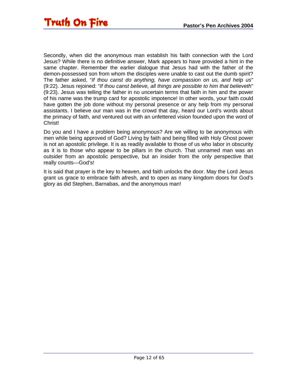Secondly, when did the anonymous man establish his faith connection with the Lord Jesus? While there is no definitive answer, Mark appears to have provided a hint in the same chapter. Remember the earlier dialogue that Jesus had with the father of the demon-possessed son from whom the disciples were unable to cast out the dumb spirit? The father asked, "*If thou canst do anything, have compassion on us, and help us*" (9:22). Jesus rejoined: "*If thou canst believe, all things are possible to him that believeth*" (9:23). Jesus was telling the father in no uncertain terms that faith in him and the power of his name was the trump card for apostolic impotence! In other words, your faith could have gotten the job done without my personal presence or any help from my personal assistants. I believe our man was in the crowd that day, heard our Lord's words about the primacy of faith, and ventured out with an unfettered vision founded upon the word of Christ!

Do you and I have a problem being anonymous? Are we willing to be anonymous with men while being approved of God? Living by faith and being filled with Holy Ghost power is not an apostolic privilege. It is as readily available to those of us who labor in obscurity as it is to those who appear to be pillars in the church. That unnamed man was an outsider from an apostolic perspective, but an insider from the only perspective that really counts—God's!

It is said that prayer is the key to heaven, and faith unlocks the door. May the Lord Jesus grant us grace to embrace faith afresh, and to open as many kingdom doors for God's glory as did Stephen, Barnabas, and the anonymous man!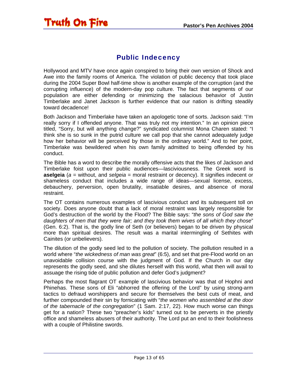#### Public Indecency

<span id="page-12-0"></span>Hollywood and MTV have once again conspired to bring their own version of Shock and Awe into the family rooms of America. The violation of public decency that took place during the 2004 Super Bowl half-time show is another example of the corruption (and the corrupting influence) of the modern-day pop culture. The fact that segments of our population are either defending or minimizing the salacious behavior of Justin Timberlake and Janet Jackson is further evidence that our nation is drifting steadily toward decadence!

Both Jackson and Timberlake have taken an apologetic tone of sorts. Jackson said: "I'm really sorry if I offended anyone. That was truly not my intention." In an opinion piece titled, "Sorry, but will anything change?" syndicated columnist Mona Charen stated: "I think she is so sunk in the putrid culture we call pop that she cannot adequately judge how her behavior will be perceived by those in the ordinary world." And to her point, Timberlake was bewildered when his own family admitted to being offended by his conduct.

The Bible has a word to describe the morally offensive acts that the likes of Jackson and Timberlake foist upon their public audiences—lasciviousness. The Greek word is **aselgeia** (*a* = without, and *selgeia* = moral restraint or decency). It signifies indecent or shameless conduct that includes a wide range of ideas—sexual license, excess, debauchery, perversion, open brutality, insatiable desires, and absence of moral restraint.

The OT contains numerous examples of lascivious conduct and its subsequent toll on society. Does anyone doubt that a lack of moral restraint was largely responsible for God's destruction of the world by the Flood? The Bible says: "*the sons of God saw the daughters of men that they were fair; and they took them wives of all which they chose*" (Gen. 6:2). That is, the godly line of Seth (or believers) began to be driven by physical more than spiritual desires. The result was a marital intermingling of Sethites with Cainites (or unbelievers).

The dilution of the godly seed led to the pollution of society. The pollution resulted in a world where "*the wickedness of man was great*" (6:5), and set that pre-Flood world on an unavoidable collision course with the judgment of God. If the Church in our day represents the godly seed, and she dilutes herself with this world, what then will avail to assuage the rising tide of public pollution and defer God's judgment?

Perhaps the most flagrant OT example of lascivious behavior was that of Hophni and Phinehas. These sons of Eli "abhorred the offering of the Lord" by using strong-arm tactics to defraud worshippers and secure for themselves the best cuts of meat, and further compounded their sin by fornicating with "*the women who assembled at the door of the tabernacle of the congregation*" (1 Sam. 2:17, 22). How much worse can things get for a nation? These two "preacher's kids" turned out to be perverts in the priestly office and shameless abusers of their authority. The Lord put an end to their foolishness with a couple of Philistine swords.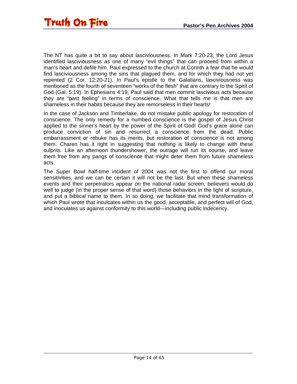The NT has quite a bit to say about lasciviousness. In Mark 7:20-23, the Lord Jesus identified lasciviousness as one of many "evil things" that can proceed from within a man's heart and defile him. Paul expressed to the church at Corinth a fear that he would find lasciviousness among the sins that plagued them, and for which they had not yet repented (2 Cor. 12:20-21). In Paul's epistle to the Galatians, lasciviousness was mentioned as the fourth of seventeen "works of the flesh" that are contrary to the Spirit of God (Gal. 5:19). In Ephesians 4:19, Paul said that men commit lascivious acts because they are "past feeling" in terms of conscience. What that tells me is that men are shameless in their habits because they are remorseless in their hearts!

In the case of Jackson and Timberlake, do not mistake public apology for restoration of conscience. The only remedy for a numbed conscience is the gospel of Jesus Christ applied to the sinner's heart by the power of the Spirit of God! God's grace alone can produce conviction of sin and resurrect a conscience from the dead. Public embarrassment or rebuke has its merits, but restoration of conscience is not among them. Charen has it right in suggesting that nothing is likely to change with these culprits. Like an afternoon thundershower, the outrage will run its course, and leave them free from any pangs of conscience that might deter them from future shameless acts.

The Super Bowl half-time incident of 2004 was not the first to offend our moral sensitivities, and we can be certain it will not be the last. But when these shameless events and their perpetrators appear on the national radar screen, believers would do well to judge (in the proper sense of that word) those behaviors in the light of scripture, and put a biblical name to them. In so doing, we facilitate that mind transformation of which Paul wrote that inculcates within us the good, acceptable, and perfect will of God, and inoculates us against conformity to this world—including public indecency.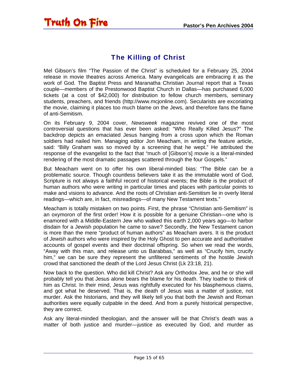### The Killing of Christ

<span id="page-14-0"></span>Mel Gibson's film "The Passion of the Christ" is scheduled for a February 25, 2004 release in movie theatres across America. Many evangelicals are embracing it as the work of God. The Baptist Press and Maranatha Christian Journal report that a Texas couple—members of the Prestonwood Baptist Church in Dallas—has purchased 6,000 tickets (at a cost of \$42,000) for distribution to fellow church members, seminary students, preachers, and friends (http://www.mcjonline.com). Secularists are excoriating the movie, claiming it places too much blame on the Jews, and therefore fans the flame of anti-Semitism.

On its February 9, 2004 cover, *Newsweek* magazine revived one of the most controversial questions that has ever been asked: "Who Really Killed Jesus?" The backdrop depicts an emaciated Jesus hanging from a cross upon which the Roman soldiers had nailed him. Managing editor Jon Meacham, in writing the feature article, said: "Billy Graham was so moved by a screening that he wept." He attributed the response of the evangelist to the fact that "much of [Gibson's] movie is a literal-minded rendering of the most dramatic passages scattered through the four Gospels."

But Meacham went on to offer his own liberal-minded bias: "The Bible can be a problematic source. Though countless believers take it as the immutable word of God, Scripture is not always a faithful record of historical events; the Bible is the product of human authors who were writing in particular times and places with particular points to make and visions to advance. And the roots of Christian anti-Semitism lie in overly literal readings—which are, in fact, misreadings—of many New Testament texts."

Meacham is totally mistaken on two points. First, the phrase "Christian anti-Semitism" is an oxymoron of the first order! How it is possible for a genuine Christian—one who is enamored with a Middle-Eastern Jew who walked this earth 2,000 years ago—to harbor disdain for a Jewish population he came to save? Secondly, the New Testament canon is more than the mere "product of human authors" as Meacham avers. It is the product of *Jewish* authors who were inspired by the Holy Ghost to pen accurate and authoritative accounts of gospel events and their doctrinal offspring. So when we read the words, "Away with this man, and release unto us Barabbas," as well as "Crucify him, crucify him," we can be sure they represent the unfiltered sentiments of the hostile Jewish crowd that sanctioned the death of the Lord Jesus Christ (Lk 23:18, 21).

Now back to the question. Who did kill Christ? Ask any Orthodox Jew, and he or she will probably tell you that Jesus alone bears the blame for his death. They loathe to think of him as Christ. In their mind, Jesus was rightfully executed for his blasphemous claims, and got what he deserved. That is, the death of Jesus was a matter of justice, not murder. Ask the historians, and they will likely tell you that both the Jewish and Roman authorities were equally culpable in the deed. And from a purely historical perspective, they are correct.

Ask any literal-minded theologian, and the answer will be that Christ's death was a matter of both justice and murder—justice as executed by God, and murder as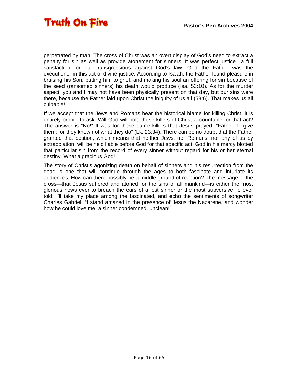perpetrated by man. The cross of Christ was an overt display of God's need to extract a penalty for sin as well as provide atonement for sinners. It was perfect justice—a full satisfaction for our transgressions against God's law. God the Father was the executioner in this act of divine justice. According to Isaiah, the Father found pleasure in bruising his Son, putting him to grief, and making his soul an offering for sin because of the seed (ransomed sinners) his death would produce (Isa. 53:10). As for the murder aspect, you and I may not have been physically present on that day, but our sins were there, because the Father laid upon Christ the iniquity of us all (53:6). That makes us all culpable!

If we accept that the Jews and Romans bear the historical blame for killing Christ, it is entirely proper to ask: Will God will hold these killers of Christ accountable for that act? The answer is "No!" It was for these same killers that Jesus prayed, "Father, forgive them; for they know not what they do" (Lk. 23:34). There can be no doubt that the Father granted that petition, which means that neither Jews, nor Romans, nor any of us by extrapolation, will be held liable before God for that specific act. God in his mercy blotted that particular sin from the record of every sinner without regard for his or her eternal destiny. What a gracious God!

The story of Christ's agonizing death on behalf of sinners and his resurrection from the dead is one that will continue through the ages to both fascinate and infuriate its audiences. How can there possibly be a middle ground of reaction? The message of the cross—that Jesus suffered and atoned for the sins of all mankind—is either the most glorious news ever to breach the ears of a lost sinner or the most subversive lie ever told. I'll take my place among the fascinated, and echo the sentiments of songwriter Charles Gabriel: "I stand amazed in the presence of Jesus the Nazarene, and wonder how he could love me, a sinner condemned, unclean!"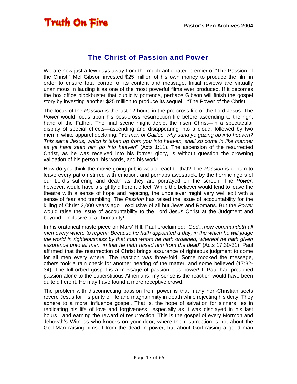#### The Christ of Passion and Power

<span id="page-16-0"></span>We are now just a few days away from the much-anticipated premier of "The Passion of the Christ." Mel Gibson invested \$25 million of his own money to produce the film in order to ensure total control of its content and message. Initial reviews are virtually unanimous in lauding it as one of the most powerful films ever produced. If it becomes the box office blockbuster that publicity portends, perhaps Gibson will finish the gospel story by investing another \$25 million to produce its sequel—"The Power of the Christ."

The focus of the *Passion* is the last 12 hours in the pre-cross life of the Lord Jesus. The *Power* would focus upon his post-cross resurrection life before ascending to the right hand of the Father. The final scene might depict the risen Christ—in a spectacular display of special effects—ascending and disappearing into a cloud, followed by two men in white apparel declaring: "*Ye men of Galilee, why sand ye gazing up into heaven? This same Jesus, which is taken up from you into heaven, shall so come in like manner as ye have seen him go into heaven*" (Acts 1:11). The ascension of the resurrected Christ, as he was received into his former glory, is without question the crowning validation of his person, his words, and his work!

How do you think the movie-going public would react to that? The *Passion* is certain to leave every patron stirred with emotion, and perhaps awestruck, by the horrific rigors of our Lord's suffering and death as they are portrayed on the screen. The *Power*, however, would have a slightly different effect. While the believer would tend to leave the theatre with a sense of hope and rejoicing, the unbeliever might very well exit with a sense of fear and trembling. The *Passion* has raised the issue of accountability for the killing of Christ 2,000 years ago—exclusive of all but Jews and Romans. But the *Power* would raise the issue of accountability to the Lord Jesus Christ at the Judgment and beyond—inclusive of all humanity!

In his oratorical masterpiece on Mars' Hill, Paul proclaimed: "*God…now commandeth all men every where to repent: Because he hath appointed a day, in the which he will judge the world in righteousness by that man whom he hath ordained; whereof he hath given assurance unto all men, in that he hath raised him from the dead*" (Acts 17:30-31). Paul affirmed that the resurrection of Christ brings assurance of righteous judgment to come for all men every where. The reaction was three-fold. Some mocked the message, others took a rain check for another hearing of the matter, and some believed (17:32- 34). The full-orbed gospel is a message of passion plus power! If Paul had preached passion alone to the superstitious Athenians, my sense is the reaction would have been quite different. He may have found a more receptive crowd.

The problem with disconnecting passion from power is that many non-Christian sects revere Jesus for his purity of life and magnanimity in death while rejecting his deity. They adhere to a moral influence gospel. That is, the hope of salvation for sinners lies in replicating his life of love and forgiveness—especially as it was displayed in his last hours—and earning the reward of resurrection. This is the gospel of every Mormon and Jehovah's Witness who knocks on your door, where the resurrection is not about the God-Man raising himself from the dead in power, but about God raising a good man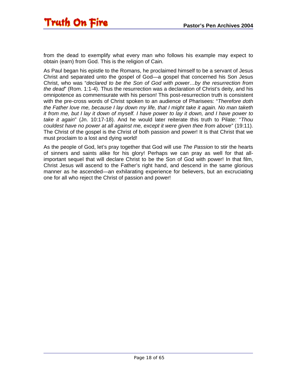from the dead to exemplify what every man who follows his example may expect to obtain (earn) from God. This is the religion of Cain.

As Paul began his epistle to the Romans, he proclaimed himself to be a servant of Jesus Christ and separated unto the gospel of God—a gospel that concerned his Son Jesus Christ, who was "*declared to be the Son of God with power…by the resurrection from the dead*" (Rom. 1:1-4). Thus the resurrection was a declaration of Christ's deity, and his omnipotence as commensurate with his person! This post-resurrection truth is consistent with the pre-cross words of Christ spoken to an audience of Pharisees: "*Therefore doth the Father love me, because I lay down my life, that I might take it again. No man taketh it from me, but I lay it down of myself. I have power to lay it down, and I have power to take it again*" (Jn. 10:17-18). And he would later reiterate this truth to Pilate: "*Thou couldest have no power at all against me, except it were given thee from above*" (19:11). The Christ of the gospel is the Christ of both passion and power! It is that Christ that we must proclaim to a lost and dying world!

As the people of God, let's pray together that God will use *The Passion* to stir the hearts of sinners and saints alike for his glory! Perhaps we can pray as well for that allimportant sequel that will declare Christ to be the Son of God with power! In that film, Christ Jesus will ascend to the Father's right hand, and descend in the same glorious manner as he ascended—an exhilarating experience for believers, but an excruciating one for all who reject the Christ of passion and power!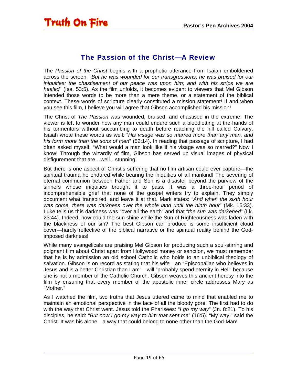#### The Passion of the Christ—A Review

<span id="page-18-0"></span>The *Passion of the Christ* begins with a prophetic utterance from Isaiah emboldened across the screen: "*But he was wounded for our transgressions, he was bruised for our iniquities: the chastisement of our peace was upon him; and with his strips we are healed*" (Isa. 53:5). As the film unfolds, it becomes evident to viewers that Mel Gibson intended those words to be more than a mere theme, or a statement of the biblical context. These words of scripture clearly constituted a mission statement! If and when you see this film, I believe you will agree that Gibson accomplished his mission!

The Christ of *The Passion* was wounded, bruised, and chastised in the extreme! The viewer is left to wonder how any man could endure such a bloodletting at the hands of his tormentors without succumbing to death before reaching the hill called Calvary. Isaiah wrote these words as well: "*His visage was so marred more than any man, and his form more than the sons of men*" (52:14). In reading that passage of scripture, I had often asked myself, "What would a man look like if his visage was so marred?" Now I know! Through the wizardly of film, Gibson has served up visual images of physical disfigurement that are…well…stunning!

But there is one aspect of Christ's suffering that no film artisan could ever capture—the spiritual trauma he endured while bearing the iniquities of all mankind! The severing of eternal communion between Father and Son is a disaster beyond the purview of the sinners whose iniquities brought it to pass. It was a three-hour period of incomprehensible grief that none of the gospel writers try to explain. They simply document what transpired, and leave it at that. Mark states: "*And when the sixth hour was come, there was darkness over the whole land until the ninth hour*" (Mk. 15:33). Luke tells us this darkness was "over all the earth" and that "*the sun was darkened*" (Lk. 23:44). Indeed, how could the sun shine while the Sun of Righteousness was laden with the blackness of our sin? The best Gibson can produce is some insufficient cloud cover—hardly reflective of the biblical narrative or the spiritual reality behind the Godimposed darkness!

While many evangelicals are praising Mel Gibson for producing such a soul-stirring and poignant film about Christ apart from Hollywood money or sanction, we must remember that he is by admission an old school Catholic who holds to an unbiblical theology of salvation. Gibson is on record as stating that his wife—an "Episcopalian who believes in Jesus and is a better Christian than I am"—will "probably spend eternity in Hell" because she is not a member of the Catholic Church. Gibson weaves this ancient heresy into the film by ensuring that every member of the apostolic inner circle addresses Mary as "Mother."

As I watched the film, two truths that Jesus uttered came to mind that enabled me to maintain an emotional perspective in the face of all the bloody gore. The first had to do with the way that Christ went. Jesus told the Pharisees: "*I go my way*" (Jn. 8:21). To his disciples, he said: "*But now I go my way to him that sent me*" (16:5). "My way," said the Christ. It was his alone—a way that could belong to none other than the God-Man!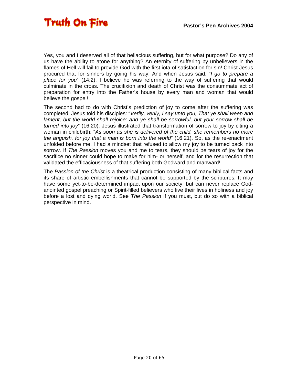Yes, you and I deserved all of that hellacious suffering, but for what purpose? Do any of us have the ability to atone for anything? An eternity of suffering by unbelievers in the flames of Hell will fail to provide God with the first iota of satisfaction for sin! Christ Jesus procured that for sinners by going his way! And when Jesus said, "*I go to prepare a place for you*" (14:2), I believe he was referring to the way of suffering that would culminate in the cross. The crucifixion and death of Christ was the consummate act of preparation for entry into the Father's house by every man and woman that would believe the gospel!

The second had to do with Christ's prediction of joy to come after the suffering was completed. Jesus told his disciples: "*Verily, verily, I say unto you, That ye shall weep and lament, but the world shall rejoice: and ye shall be sorrowful, but your sorrow shall be turned into joy*" (16:20). Jesus illustrated that transformation of sorrow to joy by citing a woman in childbirth: "*As soon as she is delivered of the child, she remembers no more the anguish, for joy that a man is born into the world*" (16:21). So, as the re-enactment unfolded before me, I had a mindset that refused to allow my joy to be turned back into sorrow. If *The Passion* moves you and me to tears, they should be tears of joy for the sacrifice no sinner could hope to make for him- or herself, and for the resurrection that validated the efficaciousness of that suffering both Godward and manward!

The *Passion of the Christ* is a theatrical production consisting of many biblical facts and its share of artistic embellishments that cannot be supported by the scriptures. It may have some yet-to-be-determined impact upon our society, but can never replace Godanointed gospel preaching or Spirit-filled believers who live their lives in holiness and joy before a lost and dying world. See *The Passion* if you must, but do so with a biblical perspective in mind.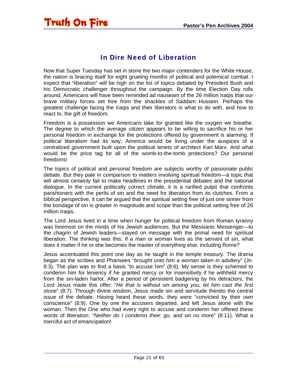#### In Dire Need of Liberation

<span id="page-20-0"></span>Now that Super Tuesday has set in stone the two major contenders for the White House, the nation is bracing itself for eight grueling months of political and polemical combat. I expect that "liberation" will be high on the list of topics debated by President Bush and his Democratic challenger throughout the campaign. By the time Election Day rolls around, Americans will have been reminded ad nauseam of the 26 million Iraqis that our brave military forces set free from the shackles of Saddam Hussein. Perhaps the greatest challenge facing the Iraqis and their liberators is what to do with, and how to react to, the gift of freedom.

Freedom is a possession we Americans take for granted like the oxygen we breathe. The degree to which the average citizen appears to be willing to sacrifice his or her personal freedom in exchange for the protections offered by government is alarming. If political liberalism had its way, America would be living under the auspices of a centralized government built upon the political tenets of architect Karl Marx. And what would be the price tag for all of the womb-to-the-tomb protections? Our personal freedoms!

The topics of political and personal freedom are subjects worthy of passionate public debate. But they pale in comparison to matters involving spiritual freedom—a topic that will almost certainly fail to make headlines in the presidential debates and the national dialogue. In the current politically correct climate, it is a rarified pulpit that confronts parishioners with the perils of sin and the need for liberation from its clutches. From a biblical perspective, it can be argued that the spiritual setting free of just one sinner from the bondage of sin is greater in magnitude and scope than the political setting free of 26 million Iraqis.

The Lord Jesus lived in a time when hunger for political freedom from Roman tyranny was foremost on the minds of his Jewish audiences. But the Messianic Messenger—to the chagrin of Jewish leaders—stayed on message with the primal need for spiritual liberation. The thinking was this: If a man or woman lives as the servant of sin, what does it matter if he or she becomes the master of everything else, including Rome?

Jesus accentuated this point one day as he taught in the temple treasury. The drama began as the scribes and Pharisees "*brought unto him a woman taken in adultery*" (Jn. 8:3). The plan was to find a basis "to accuse him" (8:6). My sense is they schemed to condemn him for leniency if he granted mercy or for insensitivity if he withheld mercy from the sin-laden harlot. After a period of persistent badgering by his detractors, the Lord Jesus made this offer: "*He that is without sin among you, let him cast the first stone*" (8:7). Through divine wisdom, Jesus made sin and servitude thereto the central issue of the debate. Having heard these words, they were "convicted by their own conscience" (8:9). One by one the accusers departed, and left Jesus alone with the woman. Then the One who had every right to accuse and condemn her offered these words of liberation: "*Neither do I condemn thee: go, and sin no more*" (8:11). What a merciful act of emancipation!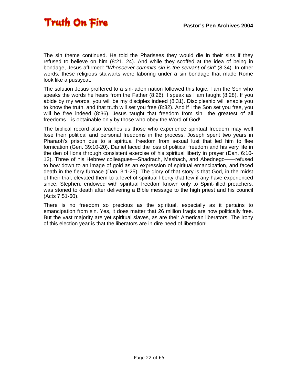The sin theme continued. He told the Pharisees they would die in their sins if they refused to believe on him (8:21, 24). And while they scoffed at the idea of being in bondage, Jesus affirmed: "*Whosoever commits sin is the servant of sin*" (8:34). In other words, these religious stalwarts were laboring under a sin bondage that made Rome look like a pussycat.

The solution Jesus proffered to a sin-laden nation followed this logic. I am the Son who speaks the words he hears from the Father (8:26). I speak as I am taught (8:28). If you abide by my words, you will be my disciples indeed (8:31). Discipleship will enable you to know the truth, and that truth will set you free (8:32). And if I the Son set you free, you will be free indeed (8:36). Jesus taught that freedom from sin—the greatest of all freedoms—is obtainable only by those who obey the Word of God!

The biblical record also teaches us those who experience spiritual freedom may well lose their political and personal freedoms in the process. Joseph spent two years in Pharaoh's prison due to a spiritual freedom from sexual lust that led him to flee fornication (Gen. 39:10-20). Daniel faced the loss of political freedom and his very life in the den of lions through consistent exercise of his spiritual liberty in prayer (Dan. 6:10- 12). Three of his Hebrew colleagues—Shadrach, Meshach, and Abednego——refused to bow down to an image of gold as an expression of spiritual emancipation, and faced death in the fiery furnace (Dan. 3:1-25). The glory of that story is that God, in the midst of their trial, elevated them to a level of spiritual liberty that few if any have experienced since. Stephen, endowed with spiritual freedom known only to Spirit-filled preachers, was stoned to death after delivering a Bible message to the high priest and his council (Acts 7:51-60).

There is no freedom so precious as the spiritual, especially as it pertains to emancipation from sin. Yes, it does matter that 26 million Iraqis are now politically free. But the vast majority are yet spiritual slaves, as are their American liberators. The irony of this election year is that the liberators are in dire need of liberation!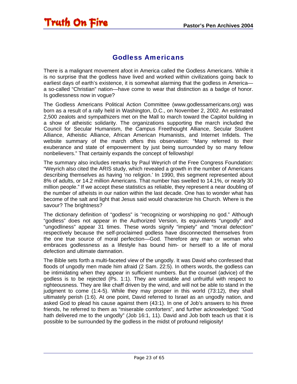#### Godless Americans

<span id="page-22-0"></span>There is a malignant movement afoot in America called the Godless Americans. While it is no surprise that the godless have lived and worked within civilizations going back to earliest days of earth's existence, it is somewhat alarming that the godless in America a so-called "Christian" nation—have come to wear that distinction as a badge of honor. Is godlessness now in vogue?

The Godless Americans Political Action Committee (www.godlessamericans.org) was born as a result of a rally held in Washington, D.C., on November 2, 2002. An estimated 2,500 zealots and sympathizers met on the Mall to march toward the Capitol building in a show of atheistic solidarity. The organizations supporting the march included the Council for Secular Humanism, the Campus Freethought Alliance, Secular Student Alliance, Atheistic Alliance, African American Humanists, and Internet Infidels. The website summary of the march offers this observation: "Many referred to their exuberance and state of empowerment by just being surrounded by so many fellow nonbelievers." That certainly expands the concept of fellowship!

The summary also includes remarks by Paul Weyrich of the Free Congress Foundation: "Weyrich also cited the ARIS study, which revealed a growth in the number of Americans describing themselves as having 'no religion.' In 1990, this segment represented about 8% of adults, or 14.2 million Americans. That number has swelled to 14.1%, or nearly 30 million people." If we accept these statistics as reliable, they represent a near doubling of the number of atheists in our nation within the last decade. One has to wonder what has become of the salt and light that Jesus said would characterize his Church. Where is the savour? The brightness?

The dictionary definition of "godless" is "recognizing or worshipping no god." Although "godless" does not appear in the Authorized Version, its equivalents "ungodly" and "ungodliness" appear 31 times. These words signify "impiety" and "moral defection" respectively because the self-proclaimed godless have disconnected themselves from the one true source of moral perfection—God. Therefore any man or woman who embraces godlessness as a lifestyle has bound him- or herself to a life of moral defection and ultimate damnation.

The Bible sets forth a multi-faceted view of the ungodly. It was David who confessed that floods of ungodly men made him afraid (2 Sam. 22:5). In others words, the godless can be intimidating when they appear in sufficient numbers. But the counsel (advice) of the godless is to be rejected (Ps. 1:1). They are unstable and unfruitful with respect to righteousness. They are like chaff driven by the wind, and will not be able to stand in the judgment to come (1:4-5). While they may prosper in this world (73:12), they shall ultimately perish (1:6). At one point, David referred to Israel as an ungodly nation, and asked God to plead his cause against them (43:1). In one of Job's answers to his three friends, he referred to them as "miserable comforters", and further acknowledged: "God hath delivered me to the ungodly" (Job 16:1, 11). David and Job both teach us that it is possible to be surrounded by the godless in the midst of profound religiosity!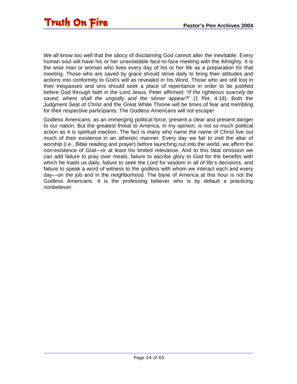We all know too well that the idiocy of disclaiming God cannot alter the inevitable. Every human soul will have his or her unavoidable face-to-face meeting with the Almighty. It is the wise man or woman who lives every day of his or her life as a preparation for that meeting. Those who are saved by grace should strive daily to bring their attitudes and actions into conformity to God's will as revealed in his Word. Those who are still lost in their trespasses and sins should seek a place of repentance in order to be justified before God through faith in the Lord Jesus. Peter affirmed: "*If the righteous scarcely be saved, where shall the ungodly and the sinner appear?*" (1 Pet. 4:18). Both the Judgment Seat of Christ and the Great White Throne will be times of fear and trembling for their respective participants. The Godless Americans will not escape!

Godless Americans, as an immerging political force, present a clear and present danger to our nation. But the greatest threat to America, in my opinion, is not so much political action as it is spiritual inaction. The fact is many who name the name of Christ live out much of their existence in an atheistic manner. Every day we fail to visit the altar of worship (i.e., Bible reading and prayer) before launching out into the world, we affirm the non-existence of God—or at least his limited relevance. And to this fatal omission we can add failure to pray over meals, failure to ascribe glory to God for the benefits with which he loads us daily, failure to seek the Lord for wisdom in all of life's decisions, and failure to speak a word of witness to the godless with whom we interact each and every day—on the job and in the neighborhood. The bane of America at this hour is not the Godless Americans. It is the professing believer who is by default a practicing nonbeliever.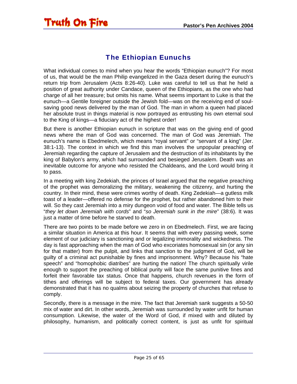### The Ethiopian Eunuchs

<span id="page-24-0"></span>What individual comes to mind when you hear the words "Ethiopian eunuch"? For most of us, that would be the man Philip evangelized in the Gaza desert during the eunuch's return trip from Jerusalem (Acts 8:26-40). Luke was careful to tell us that he held a position of great authority under Candace, queen of the Ethiopians, as the one who had charge of all her treasure; but omits his name. What seems important to Luke is that the eunuch—a Gentile foreigner outside the Jewish fold—was on the receiving end of soulsaving good news delivered by the man of God. The man in whom a queen had placed her absolute trust in things material is now portrayed as entrusting his own eternal soul to the King of kings—a fiduciary act of the highest order!

But there is another Ethiopian eunuch in scripture that was on the giving end of good news where the man of God was concerned. The man of God was Jeremiah. The eunuch's name is Ebedmelech, which means "royal servant" or "servant of a king" (Jer. 38:1-13). The context in which we find this man involves the unpopular preaching of Jeremiah regarding the capture of Jerusalem and the destruction of its inhabitants by the king of Babylon's army, which had surrounded and besieged Jerusalem. Death was an inevitable outcome for anyone who resisted the Chaldeans, and the Lord would bring it to pass.

In a meeting with king Zedekiah, the princes of Israel argued that the negative preaching of the prophet was demoralizing the military, weakening the citizenry, and hurting the country. In their mind, these were crimes worthy of death. King Zedekiah—a gutless milk toast of a leader—offered no defense for the prophet, but rather abandoned him to their will. So they cast Jeremiah into a miry dungeon void of food and water. The Bible tells us "*they let down Jeremiah with cords*" and "*so Jeremiah sunk in the mire*" (38:6). It was just a matter of time before he starved to death.

There are two points to be made before we zero in on Ebedmelech. First, we are facing a similar situation in America at this hour. It seems that with every passing week, some element of our judiciary is sanctioning and or legalizing immorality and wickedness. The day is fast approaching when the man of God who excoriates homosexual sin (or any sin for that matter) from the pulpit, and links that sanction to the judgment of God, will be guilty of a criminal act punishable by fines and imprisonment. Why? Because his "hate speech" and "homophobic diatribes" are hurting the nation! The church spiritually virile enough to support the preaching of biblical purity will face the same punitive fines and forfeit their favorable tax status. Once that happens, church revenues in the form of tithes and offerings will be subject to federal taxes. Our government has already demonstrated that it has no qualms about seizing the property of churches that refuse to comply.

Secondly, there is a message in the mire. The fact that Jeremiah sank suggests a 50-50 mix of water and dirt. In other words, Jeremiah was surrounded by water unfit for human consumption. Likewise, the water of the Word of God, if mixed with and diluted by philosophy, humanism, and politically correct content, is just as unfit for spiritual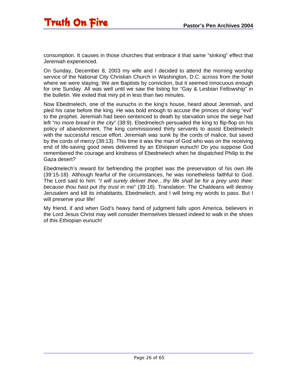consumption. It causes in those churches that embrace it that same "sinking" effect that Jeremiah experienced.

On Sunday, December 8, 2003 my wife and I decided to attend the morning worship service of the National City Christian Church in Washington, D.C. across from the hotel where we were staying. We are Baptists by conviction, but it seemed innocuous enough for one Sunday. All was well until we saw the listing for "Gay & Lesbian Fellowship" in the bulletin. We exited that miry pit in less than two minutes.

Now Ebedmelech, one of the eunuchs in the king's house, heard about Jeremiah, and pled his case before the king. He was bold enough to accuse the princes of doing "evil" to the prophet. Jeremiah had been sentenced to death by starvation since the siege had left "*no more bread in the city*" (38:9). Ebedmelech persuaded the king to flip-flop on his policy of abandonment. The king commissioned thirty servants to assist Ebedmelech with the successful rescue effort. Jeremiah was sunk by the cords of malice, but saved by the cords of mercy (38:13). This time it was the man of God who was on the receiving end of life-saving good news delivered by an Ethiopian eunuch! Do you suppose God remembered the courage and kindness of Ebedmelech when he dispatched Philip to the Gaza desert?

Ebedmelech's reward for befriending the prophet was the preservation of his own life (39:15-18). Although fearful of the circumstances, he was nonetheless faithful to God. The Lord said to him: "*I will surely deliver thee…thy life shall be for a prey unto thee: because thou hast put thy trust in me*" (39:18). Translation: The Chaldeans will destroy Jerusalem and kill its inhabitants, Ebedmelech, and I will bring my words to pass. But I will preserve your life!

My friend, if and when God's heavy hand of judgment falls upon America, believers in the Lord Jesus Christ may well consider themselves blessed indeed to walk in the shoes of this Ethiopian eunuch!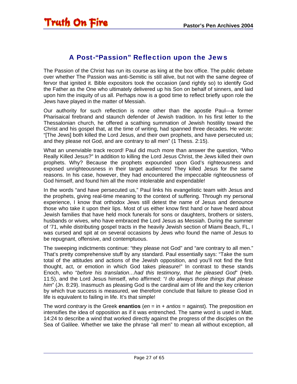#### A Post-"Passion" Reflection upon the Jews

<span id="page-26-0"></span>The Passion of the Christ has run its course as king at the box office. The public debate over whether The Passion was anti-Semitic is still alive, but not with the same degree of fervor that ignited it. Bible expositors took the occasion (and rightly so) to identify God the Father as the One who ultimately delivered up his Son on behalf of sinners, and laid upon him the iniquity of us all. Perhaps now is a good time to reflect briefly upon role the Jews have played in the matter of Messiah.

Our authority for such reflection is none other than the apostle Paul—a former Pharisaical firebrand and staunch defender of Jewish tradition. In his first letter to the Thessalonian church, he offered a scathing summation of Jewish hostility toward the Christ and his gospel that, at the time of writing, had spanned three decades. He wrote: "[The Jews] both killed the Lord Jesus, and their own prophets, and have persecuted us; and they please not God, and are contrary to all men" (1 Thess. 2:15).

What an unenviable track record! Paul did much more than answer the question, "Who Really Killed Jesus?" In addition to killing the Lord Jesus Christ, the Jews killed their own prophets. Why? Because the prophets expounded upon God's righteousness and exposed unrighteousness in their target audiences! They killed Jesus for the same reasons. In his case, however, they had encountered the impeccable righteousness of God himself, and found him all the more intolerable and expendable!

In the words "and have persecuted us," Paul links his evangelistic team with Jesus and the prophets, giving real-time meaning to the context of suffering. Through my personal experience, I know that orthodox Jews still detest the name of Jesus and denounce those who take it upon their lips. Most of us either know first hand or have heard about Jewish families that have held mock funerals for sons or daughters, brothers or sisters, husbands or wives, who have embraced the Lord Jesus as Messiah. During the summer of '71, while distributing gospel tracts in the heavily Jewish section of Miami Beach, FL, I was cursed and spit at on several occasions by Jews who found the name of Jesus to be repugnant, offensive, and contemptuous.

The sweeping indictments continue: "they please not God" and "are contrary to all men." That's pretty comprehensive stuff by any standard. Paul essentially says: "Take the sum total of the attitudes and actions of the Jewish opposition, and you'll not find the first thought, act, or emotion in which God takes pleasure!" In contrast to these stands Enoch, who "*before his translation…had this testimony, that he pleased God*" (Heb. 11:5), and the Lord Jesus himself, who affirmed: "*I do always those things that please him*" (Jn. 8:29). Inasmuch as pleasing God is the cardinal aim of life and the key criterion by which true success is measured, we therefore conclude that failure to please God in life is equivalent to failing in life. It's that simple!

The word *contrary* is the Greek **enantios** (*en* = in + *antios* = against). The preposition *en* intensifies the idea of opposition as if it was entrenched. The same word is used in Matt. 14:24 to describe a wind that worked directly against the progress of the disciples on the Sea of Galilee. Whether we take the phrase "all men" to mean all without exception, all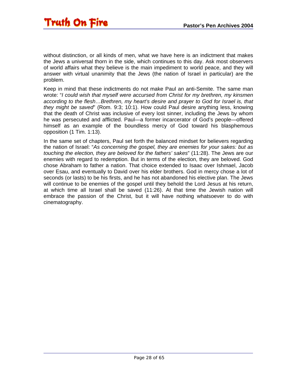without distinction, or all kinds of men, what we have here is an indictment that makes the Jews a universal thorn in the side, which continues to this day. Ask most observers of world affairs what they believe is the main impediment to world peace, and they will answer with virtual unanimity that the Jews (the nation of Israel in particular) are the problem.

Keep in mind that these indictments do not make Paul an anti-Semite. The same man wrote: "*I could wish that myself were accursed from Christ for my brethren, my kinsmen according to the flesh…Brethren, my heart's desire and prayer to God for Israel is, that they might be saved*" (Rom. 9:3; 10:1). How could Paul desire anything less, knowing that the death of Christ was inclusive of every lost sinner, including the Jews by whom he was persecuted and afflicted. Paul—a former incarcerator of God's people—offered himself as an example of the boundless mercy of God toward his blasphemous opposition (1 Tim. 1:13).

In the same set of chapters, Paul set forth the balanced mindset for believers regarding the nation of Israel: "*As concerning the gospel, they are enemies for your sakes: but as touching the election, they are beloved for the fathers' sakes*" (11:28). The Jews are our enemies with regard to redemption. But in terms of the election, they are beloved. God chose Abraham to father a nation. That choice extended to Isaac over Ishmael, Jacob over Esau, and eventually to David over his elder brothers. God in mercy chose a lot of seconds (or lasts) to be his firsts, and he has not abandoned his elective plan. The Jews will continue to be enemies of the gospel until they behold the Lord Jesus at his return, at which time all Israel shall be saved (11:26). At that time the Jewish nation will embrace the passion of the Christ, but it will have nothing whatsoever to do with cinematography.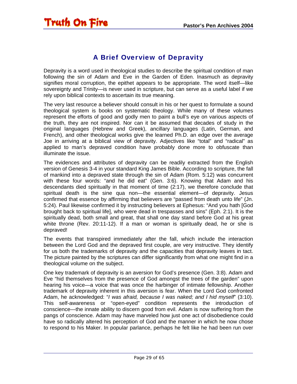<span id="page-28-0"></span>

#### A Brief Overview of Depravity

Depravity is a word used in theological studies to describe the spiritual condition of man following the sin of Adam and Eve in the Garden of Eden. Inasmuch as depravity signifies moral corruption, the epithet appears to be appropriate. The word itself—like sovereignty and Trinity—is never used in scripture, but can serve as a useful label if we rely upon biblical contexts to ascertain its true meaning.

The very last resource a believer should consult in his or her quest to formulate a sound theological system is books on systematic theology. While many of these volumes represent the efforts of good and godly men to paint a bull's eye on various aspects of the truth, they are not inspired. Nor can it be assumed that decades of study in the original languages (Hebrew and Greek), ancillary languages (Latin, German, and French), and other theological works give the learned Ph.D. an edge over the average Joe in arriving at a biblical view of depravity. Adjectives like "total" and "radical" as applied to man's depraved condition have probably done more to obfuscate than illuminate the issue.

The evidences and attributes of depravity can be readily extracted from the English version of Genesis 3-4 in your standard King James Bible. According to scripture, the fall of mankind into a depraved state through the sin of Adam (Rom. 5:12) was concurrent with these four words: "and he did eat" (Gen. 3:6). Knowing that Adam and his descendants died spiritually in that moment of time (2:17), we therefore conclude that spiritual death is the sine qua non—the essential element—of depravity. Jesus confirmed that essence by affirming that believers are "passed from death unto life" (Jn. 5:24). Paul likewise confirmed it by instructing believers at Ephesus: "And you hath [God brought back to spiritual life], who were dead in trespasses and sins" (Eph. 2:1). It is the spiritually dead, both small and great, that shall one day stand before God at his great white throne (Rev. 20:11-12). If a man or woman is spiritually dead, he or she is depraved!

The events that transpired immediately after the fall, which include the interaction between the Lord God and the depraved first couple, are very instructive. They identify for us both the trademarks of depravity and the capacities that depravity leaves in tact. The picture painted by the scriptures can differ significantly from what one might find in a theological volume on the subject.

One key trademark of depravity is an aversion for God's presence (Gen. 3:8). Adam and Eve "hid themselves from the presence of God amongst the trees of the garden" upon hearing his voice—a voice that was once the harbinger of intimate fellowship. Another trademark of depravity inherent in this aversion is fear. When the Lord God confronted Adam, he acknowledged: "*I was afraid, because I was naked; and I hid myself*" (3:10). This self-awareness or "open-eyed" condition represents the introduction of conscience—the innate ability to discern good from evil. Adam is now suffering from the pangs of conscience. Adam may have marveled how just one act of disobedience could have so radically altered his perception of God and the manner in which he now chose to respond to his Maker. In popular parlance, perhaps he felt like he had been run over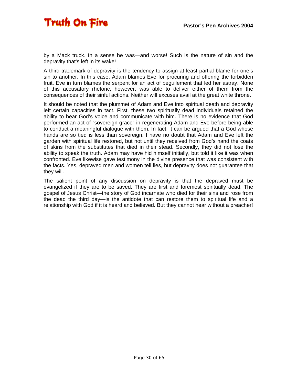by a Mack truck. In a sense he was—and worse! Such is the nature of sin and the depravity that's left in its wake!

A third trademark of depravity is the tendency to assign at least partial blame for one's sin to another. In this case, Adam blames Eve for procuring and offering the forbidden fruit. Eve in turn blames the serpent for an act of beguilement that led her astray. None of this accusatory rhetoric, however, was able to deliver either of them from the consequences of their sinful actions. Neither will excuses avail at the great white throne.

It should be noted that the plummet of Adam and Eve into spiritual death and depravity left certain capacities in tact. First, these two spiritually dead individuals retained the ability to hear God's voice and communicate with him. There is no evidence that God performed an act of "sovereign grace" in regenerating Adam and Eve before being able to conduct a meaningful dialogue with them. In fact, it can be argued that a God whose hands are so tied is less than sovereign. I have no doubt that Adam and Eve left the garden with spiritual life restored, but not until they received from God's hand the coats of skins from the substitutes that died in their stead. Secondly, they did not lose the ability to speak the truth. Adam may have hid himself initially, but told it like it was when confronted. Eve likewise gave testimony in the divine presence that was consistent with the facts. Yes, depraved men and women tell lies, but depravity does not guarantee that they will.

The salient point of any discussion on depravity is that the depraved must be evangelized if they are to be saved. They are first and foremost spiritually dead. The gospel of Jesus Christ—the story of God incarnate who died for their sins and rose from the dead the third day—is the antidote that can restore them to spiritual life and a relationship with God if it is heard and believed. But they cannot hear without a preacher!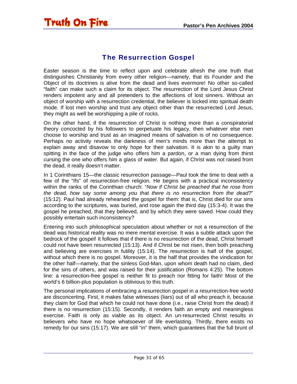### The Resurrection Gospel

<span id="page-30-0"></span>Easter season is the time to reflect upon and celebrate afresh the one truth that distinguishes Christianity from every other religion—namely, that its Founder and the Object of its doctrines is alive from the dead and lives evermore! No other so-called "faith" can make such a claim for its object. The resurrection of the Lord Jesus Christ renders impotent any and all pretenders to the affections of lost sinners. Without an object of worship with a resurrection credential, the believer is locked into spiritual death mode. If lost men worship and trust any object other than the resurrected Lord Jesus, they might as well be worshipping a pile of rocks.

On the other hand, if the resurrection of Christ is nothing more than a conspiratorial theory concocted by his followers to perpetuate his legacy, then whatever else men choose to worship and trust as an imagined means of salvation is of no consequence. Perhaps no activity reveals the darkness of men's minds more than the attempt to explain away and disavow to only hope for their salvation. It is akin to a guilty man spitting in the face of the judge who offers him a pardon, or a man dying from thirst cursing the one who offers him a glass of water. But again, if Christ was not raised from the dead, it really doesn't matter.

In 1 Corinthians 15—the classic resurrection passage—Paul took the time to deal with a few of the "Ifs" of resurrection-free religion. He begins with a practical inconsistency within the ranks of the Corinthian church: "*Now if Christ be preached that he rose from the dead, how say some among you that there is no resurrection from the dead?*" (15:12). Paul had already rehearsed the gospel for them: that is, Christ died for our sins according to the scriptures, was buried, and rose again the third day (15:3-4). It was the gospel he preached, that they believed, and by which they were saved. How could they possibly entertain such inconsistency?

Entering into such philosophical speculation about whether or not a resurrection of the dead was historical reality was no mere mental exercise. It was a subtle attack upon the bedrock of the gospel! It follows that if there is no resurrection of the dead, Christ himself could not have been resurrected (15:13). And if Christ be not risen, then both preaching and believing are exercises in futility (15:14). The resurrection is half of the gospel, without which there is no gospel. Moreover, it is the half that provides the vindication for the other half—namely, that the sinless God-Man, upon whom death had no claim, died for the sins of others, and was raised for their justification (Romans 4:25). The bottom line: a resurrection-free gospel is neither fit to preach nor fitting for faith! Most of the world's 6 billion-plus population is oblivious to this truth.

The personal implications of embracing a resurrection gospel in a resurrection-free world are disconcerting. First, it makes false witnesses (liars) out of all who preach it, because they claim for God that which he could not have done (i.e., raise Christ from the dead) if there is no resurrection (15:15). Secondly, it renders faith an empty and meaningless exercise. Faith is only as viable as its object. An un-resurrected Christ results in believers who have no hope whatsoever of life everlasting. Thirdly, there exists no remedy for our sins (15:17). We are still "in" them, which guarantees that the full brunt of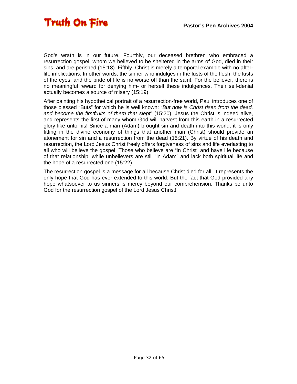

God's wrath is in our future. Fourthly, our deceased brethren who embraced a resurrection gospel, whom we believed to be sheltered in the arms of God, died in their sins, and are perished (15:18). Fifthly, Christ is merely a temporal example with no afterlife implications. In other words, the sinner who indulges in the lusts of the flesh, the lusts of the eyes, and the pride of life is no worse off than the saint. For the believer, there is no meaningful reward for denying him- or herself these indulgences. Their self-denial actually becomes a source of misery (15:19).

After painting his hypothetical portrait of a resurrection-free world, Paul introduces one of those blessed "Buts" for which he is well known: "*But now is Christ risen from the dead, and become the firstfruits of them that slept*" (15:20). Jesus the Christ is indeed alive, and represents the first of many whom God will harvest from this earth in a resurrected glory like unto his! Since a man (Adam) brought sin and death into this world, it is only fitting in the divine economy of things that another man (Christ) should provide an atonement for sin and a resurrection from the dead (15:21). By virtue of his death and resurrection, the Lord Jesus Christ freely offers forgiveness of sins and life everlasting to all who will believe the gospel. Those who believe are "in Christ" and have life because of that relationship, while unbelievers are still "in Adam" and lack both spiritual life and the hope of a resurrected one (15:22).

The resurrection gospel is a message for all because Christ died for all. It represents the only hope that God has ever extended to this world. But the fact that God provided any hope whatsoever to us sinners is mercy beyond our comprehension. Thanks be unto God for the resurrection gospel of the Lord Jesus Christ!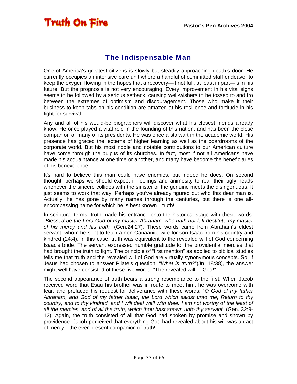### The Indispensable Man

<span id="page-32-0"></span>One of America's greatest citizens is slowly but steadily approaching death's door. He currently occupies an intensive care unit where a handful of committed staff endeavor to keep the oxygen flowing in the hopes that a recovery—if not full, at least in part—is in his future. But the prognosis is not very encouraging. Every improvement in his vital signs seems to be followed by a serious setback, causing well-wishers to be tossed to and fro between the extremes of optimism and discouragement. Those who make it their business to keep tabs on his condition are amazed at his resilience and fortitude in his fight for survival.

Any and all of his would-be biographers will discover what his closest friends already know. He once played a vital role in the founding of this nation, and has been the close companion of many of its presidents. He was once a stalwart in the academic world. His presence has graced the lecterns of higher learning as well as the boardrooms of the corporate world. But his most noble and notable contributions to our American culture have come through the pulpits of its churches. In fact, most if not all Americans have made his acquaintance at one time or another, and many have become the beneficiaries of his benevolence.

It's hard to believe this man could have enemies, but indeed he does. On second thought, perhaps we should expect ill feelings and animosity to rear their ugly heads whenever the sincere collides with the sinister or the genuine meets the disingenuous. It just seems to work that way. Perhaps you've already figured out who this dear man is. Actually, he has gone by many names through the centuries, but there is one allencompassing name for which he is best known—truth!

In scriptural terms, truth made his entrance onto the historical stage with these words: "*Blessed be the Lord God of my master Abraham, who hath not left destitute my master of his mercy and his truth*" (Gen.24:27). These words came from Abraham's eldest servant, whom he sent to fetch a non-Canaanite wife for son Isaac from his country and kindred (24:4). In this case, truth was equivalent to the revealed will of God concerning Isaac's bride. The servant expressed humble gratitude for the providential mercies that had brought the truth to light. The principle of "first mention" as applied to biblical studies tells me that truth and the revealed will of God are virtually synonymous concepts. So, if Jesus had chosen to answer Pilate's question, "*What is truth?*"(Jn. 18:38), the answer might well have consisted of these five words: "The revealed will of God!"

The second appearance of truth bears a strong resemblance to the first. When Jacob received word that Esau his brother was in route to meet him, he was overcome with fear, and prefaced his request for deliverance with these words: "*O God of my father Abraham, and God of my father Isaac, the Lord which saidst unto me, Return to thy country, and to thy kindred, and I will deal well with thee: I am not worthy of the least of all the mercies, and of all the truth, which thou hast shown unto thy servant*" (Gen. 32:9- 12). Again, the truth consisted of all that God had spoken by promise and shown by providence. Jacob perceived that everything God had revealed about his will was an act of mercy—the ever-present companion of truth!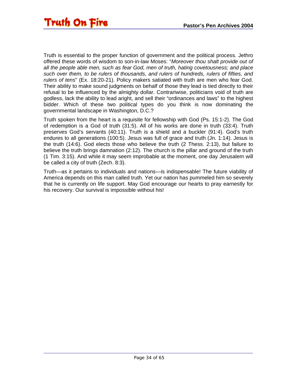Truth is essential to the proper function of government and the political process. Jethro offered these words of wisdom to son-in-law Moses: "*Moreover thou shalt provide out of all the people able men, such as fear God, men of truth, hating covetousness; and place such over them, to be rulers of thousands, and rulers of hundreds, rulers of fifties, and rulers of tens*" (Ex. 18:20-21). Policy makers satiated with truth are men who fear God. Their ability to make sound judgments on behalf of those they lead is tied directly to their refusal to be influenced by the almighty dollar. Contrariwise, politicians void of truth are godless, lack the ability to lead aright, and sell their "ordinances and laws" to the highest bidder. Which of these two political types do you think is now dominating the governmental landscape in Washington, D.C.?

Truth spoken from the heart is a requisite for fellowship with God (Ps. 15:1-2). The God of redemption is a God of truth (31:5). All of his works are done in truth (33:4). Truth preserves God's servants (40:11). Truth is a shield and a buckler (91:4). God's truth endures to all generations (100:5). Jesus was full of grace and truth (Jn. 1:14). Jesus is the truth (14:6). God elects those who believe the truth (2 Thess. 2:13), but failure to believe the truth brings damnation (2:12). The church is the pillar and ground of the truth (1 Tim. 3:15). And while it may seem improbable at the moment, one day Jerusalem will be called a city of truth (Zech. 8:3).

Truth—as it pertains to individuals and nations—is indispensable! The future viability of America depends on this man called truth. Yet our nation has pummeled him so severely that he is currently on life support. May God encourage our hearts to pray earnestly for his recovery. Our survival is impossible without his!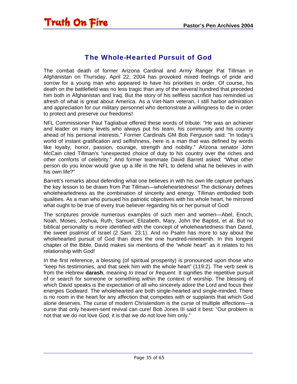<span id="page-34-0"></span>

#### The Whole-Hearted Pursuit of God

The combat death of former Arizona Cardinal and Army Ranger Pat Tillman in Afghanistan on Thursday, April 22, 2004 has provoked mixed feelings of pride and sorrow for a young man who appeared to have his priorities in order. Of course, his death on the battlefield was no less tragic than any of the several hundred that preceded him both in Afghanistan and Iraq. But the story of his selfless sacrifice has reminded us afresh of what is great about America. As a Viet-Nam veteran, I still harbor admiration and appreciation for our military personnel who demonstrate a willingness to die in order to protect and preserve our freedoms!

NFL Commissioner Paul Tagliabue offered these words of tribute: "He was an achiever and leader on many levels who always put his team, his community and his country ahead of his personal interests." Former Cardinals GM Bob Ferguson said: "In today's world of instant gratification and selfishness, here is a man that was defined by words like loyalty, honor, passion, courage, strength and nobility." Arizona senator John McCain cited Tillman's "unexpected choice of duty to his country over the riches and other comforts of celebrity." And former teammate David Barrett asked: "What other person do you know would give up a life in the NFL to defend what he believes in with his own life?"

Barrett's remarks about defending what one believes in with his own life capture perhaps the key lesson to be drawn from Pat Tillman—wholeheartedness! The dictionary defines wholeheartedness as the combination of sincerity and energy. Tillman embodied both qualities. As a man who pursued his patriotic objectives with his whole heart, he mirrored what ought to be true of every true believer regarding his or her pursuit of God!

The scriptures provide numerous examples of such men and women—Abel, Enoch, Noah, Moses, Joshua, Ruth, Samuel, Elizabeth, Mary, John the Baptist, et al. But no biblical personality is more identified with the concept of wholeheartedness than David, the sweet psalmist of Israel (2 Sam. 23:1). And no Psalm has more to say about the wholehearted pursuit of God than does the one hundred-nineteenth. In this longest chapter of the Bible, David makes six mentions of the "whole heart" as it relates to his relationship with God!

In the first reference, a blessing (of spiritual prosperity) is pronounced upon those who "keep his testimonies, and that seek him with the whole heart" (119:2). The verb *seek* is from the Hebrew **darash**, meaning *to tread* or *frequent*. It signifies the repetitive pursuit of or search for someone or something within the context of worship. The blessing of which David speaks is the expectation of all who sincerely adore the Lord and focus their energies Godward. The wholehearted are both single-hearted and single-minded. There is no room in the heart for any affection that competes with or supplants that which God alone deserves. The curse of modern Christendom is the curse of multiple affections—a curse that only heaven-sent revival can cure! Bob Jones III said it best: "Our problem is not that we do not love God; it is that we do not love him only."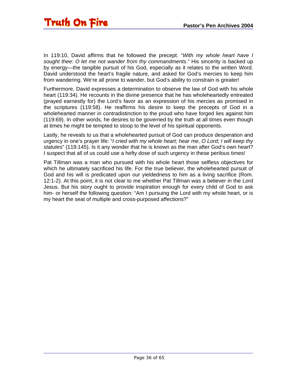In 119:10, David affirms that he followed the precept: "*With my whole heart have I sought thee: O let me not wander from thy commandments*." His sincerity is backed up by energy—the tangible pursuit of his God, especially as it relates to the written Word. David understood the heart's fragile nature, and asked for God's mercies to keep him from wandering. We're all prone to wander, but God's ability to constrain is greater!

Furthermore, David expresses a determination to observe the law of God with his whole heart (119:34). He recounts in the divine presence that he has wholeheartedly entreated (prayed earnestly for) the Lord's favor as an expression of his mercies as promised in the scriptures (119:58). He reaffirms his desire to keep the precepts of God in a wholehearted manner in contradistinction to the proud who have forged lies against him (119:69). In other words, he desires to be governed by the truth at all times even though at times he might be tempted to stoop to the level of his spiritual opponents.

Lastly, he reveals to us that a wholehearted pursuit of God can produce desperation and urgency in one's prayer life: "*I cried with my whole heart; hear me, O Lord; I will keep thy statutes*" (119:145). Is it any wonder that he is known as the man after God's own heart? I suspect that all of us could use a hefty dose of such urgency in these perilous times!

Pat Tillman was a man who pursued with his whole heart those selfless objectives for which he ultimately sacrificed his life. For the true believer, the wholehearted pursuit of God and his will is predicated upon our yieldedness to him as a living sacrifice (Rom. 12:1-2). At this point, it is not clear to me whether Pat Tillman was a believer in the Lord Jesus. But his story ought to provide inspiration enough for every child of God to ask him- or herself the following question: "Am I pursuing the Lord with my whole heart, or is my heart the seat of multiple and cross-purposed affections?"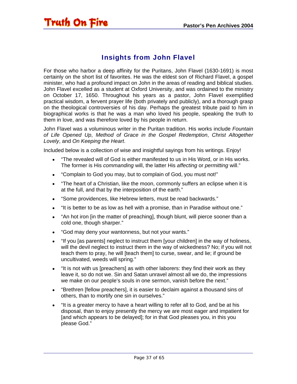### Insights from John Flavel

<span id="page-36-0"></span>For those who harbor a deep affinity for the Puritans, John Flavel (1630-1691) is most certainly on the short list of favorites. He was the eldest son of Richard Flavel, a gospel minister, who had a profound impact on John in the areas of reading and biblical studies. John Flavel excelled as a student at Oxford University, and was ordained to the ministry on October 17, 1650. Throughout his years as a pastor, John Flavel exemplified practical wisdom, a fervent prayer life (both privately and publicly), and a thorough grasp on the theological controversies of his day. Perhaps the greatest tribute paid to him in biographical works is that he was a man who loved his people, speaking the truth to them in love, and was therefore loved by his people in return.

John Flavel was a voluminous writer in the Puritan tradition. His works include *Fountain of Life Opened Up*, *Method of Grace in the Gospel Redemption*, *Christ Altogether Lovely*, and *On Keeping the Heart*.

Included below is a collection of wise and insightful sayings from his writings. Enjoy!

- "The revealed will of God is either manifested to us in His Word, or in His works. The former is His *commanding* will, the latter His *affecting* or *permitting* will."
- "Complain to God you may, but to complain of God, you must not!"
- "The heart of a Christian, like the moon, commonly suffers an eclipse when it is at the full, and that by the interposition of the earth."
- "Some providences, like Hebrew letters, must be read backwards."
- "It is better to be as low as hell with a promise, than in Paradise without one."
- "An hot iron [in the matter of preaching], though blunt, will pierce sooner than a cold one, though sharper."
- "God may deny your wantonness, but not your wants."
- "If you [as parents] neglect to instruct them [your children] in the way of holiness, will the devil neglect to instruct them in the way of wickedness? No; if you will not teach them to pray, he will [teach them] to curse, swear, and lie; if ground be uncultivated, weeds will spring."
- "It is not with us [preachers] as with other laborers: they find their work as they leave it, so do not we. Sin and Satan unravel almost all we do, the impressions we make on our people's souls in one sermon, vanish before the next."
- "Brethren [fellow preachers], it is easier to declaim against a thousand sins of others, than to mortify one sin in ourselves."
- "It is a greater mercy to have a heart willing to refer all to God, and be at his disposal, than to enjoy presently the mercy we are most eager and impatient for [and which appears to be delayed]; for in that God pleases you, in this you please God."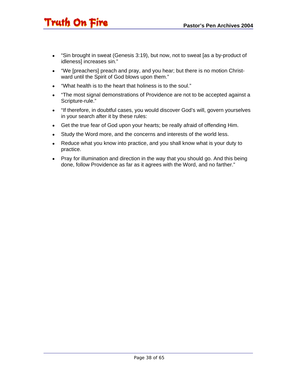- "Sin brought in sweat (Genesis 3:19), but now, not to sweat [as a by-product of idleness] increases sin."
- "We [preachers] preach and pray, and you hear; but there is no motion Christward until the Spirit of God blows upon them."
- "What health is to the heart that holiness is to the soul."
- "The most signal demonstrations of Providence are not to be accepted against a Scripture-rule."
- "If therefore, in doubtful cases, you would discover God's will, govern yourselves in your search after it by these rules:
- Get the true fear of God upon your hearts; be really afraid of offending Him.
- Study the Word more, and the concerns and interests of the world less.
- Reduce what you know into practice, and you shall know what is your duty to practice.
- Pray for illumination and direction in the way that you should go. And this being done, follow Providence as far as it agrees with the Word, and no farther."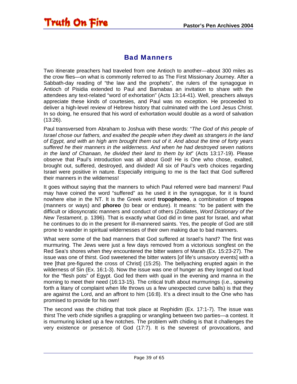#### Bad Manners

<span id="page-38-0"></span>Two itinerate preachers had traveled from one Antioch to another—about 300 miles as the crow flies—on what is commonly referred to as The First Missionary Journey. After a Sabbath-day reading of "the law and the prophets", the rulers of the synagogue in Antioch of Pisidia extended to Paul and Barnabas an invitation to share with the attendees any text-related "word of exhortation" (Acts 13:14-41). Well, preachers always appreciate these kinds of courtesies, and Paul was no exception. He proceeded to deliver a high-level review of Hebrew history that culminated with the Lord Jesus Christ. In so doing, he ensured that his word of exhortation would double as a word of salvation (13:26).

Paul transversed from Abraham to Joshua with these words: "*The God of this people of Israel chose our fathers, and exalted the people when they dwelt as strangers in the land of Egypt, and with an high arm brought them out of it. And about the time of forty years suffered he their manners in the wilderness. And when he had destroyed seven nations in the land of Chanaan, he divided their land to them by lot*" (Acts 13:17-19). Please observe that Paul's introduction was all about God! He is One who chose, exalted, brought out, suffered, destroyed, and divided! All six of Paul's verb choices regarding Israel were positive in nature. Especially intriguing to me is the fact that God suffered their manners in the wilderness!

It goes without saying that the manners to which Paul referred were bad manners! Paul may have coined the word "suffered" as he used it in the synagogue, for it is found nowhere else in the NT. It is the Greek word **tropophoreo**, a combination of **tropos** (manners or ways) and **phoreo** (to bear or endure). It means: "to be patient with the difficult or idiosyncratic manners and conduct of others (Zodiates, *Word Dictionary of the New Testament*, p. 1396). That is exactly what God did in time past for Israel, and what he continues to do in the present for ill-mannered saints. Yes, the people of God are still prone to wander in spiritual wildernesses of their own making due to bad manners.

What were some of the bad manners that God suffered at Israel's hand? The first was murmuring. The Jews were just a few days removed from a victorious songfest on the Red Sea's shores when they encountered the bitter waters of Marah (Ex. 15:23-27). The issue was one of thirst. God sweetened the bitter waters [of life's unsavory events] with a tree [that pre-figured the cross of Christ] (15:25). The bellyaching erupted again in the wilderness of Sin (Ex. 16:1-3). Now the issue was one of hunger as they longed out loud for the "flesh pots" of Egypt. God fed them with quail in the evening and manna in the morning to meet their need (16:13-15). The critical truth about murmurings (i.e., spewing forth a litany of complaint when life throws us a few unexpected curve balls) is that they are against the Lord, and an affront to him (16:8). It's a direct insult to the One who has promised to provide for his own!

The second was the chiding that took place at Rephidim (Ex. 17:1-7). The issue was thirst The verb *chide* signifies a grappling or wrangling between two parties—a contest. It is murmuring kicked up a few notches. The problem with chiding is that it challenges the very existence or presence of God (17:7). It is the severest of provocations, and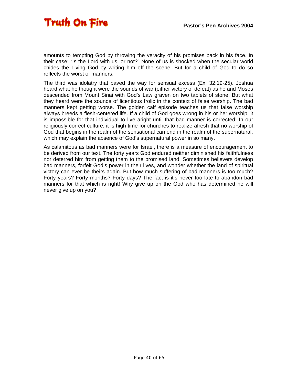amounts to tempting God by throwing the veracity of his promises back in his face. In their case: "Is the Lord with us, or not?" None of us is shocked when the secular world chides the Living God by writing him off the scene. But for a child of God to do so reflects the worst of manners.

The third was idolatry that paved the way for sensual excess (Ex. 32:19-25). Joshua heard what he thought were the sounds of war (either victory of defeat) as he and Moses descended from Mount Sinai with God's Law graven on two tablets of stone. But what they heard were the sounds of licentious frolic in the context of false worship. The bad manners kept getting worse. The golden calf episode teaches us that false worship always breeds a flesh-centered life. If a child of God goes wrong in his or her worship, it is impossible for that individual to live aright until that bad manner is corrected! In our religiously correct culture, it is high time for churches to realize afresh that no worship of God that begins in the realm of the sensational can end in the realm of the supernatural, which may explain the absence of God's supernatural power in so many.

As calamitous as bad manners were for Israel, there is a measure of encouragement to be derived from our text. The forty years God endured neither diminished his faithfulness nor deterred him from getting them to the promised land. Sometimes believers develop bad manners, forfeit God's power in their lives, and wonder whether the land of spiritual victory can ever be theirs again. But how much suffering of bad manners is too much? Forty years? Forty months? Forty days? The fact is it's never too late to abandon bad manners for that which is right! Why give up on the God who has determined he will never give up on you?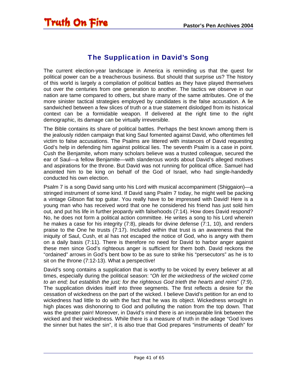#### The Supplication in David's Song

<span id="page-40-0"></span>The current election-year landscape in America is reminding us that the quest for political power can be a treacherous business. But should that surprise us? The history of this world is largely a compilation of political battles as they have played themselves out over the centuries from one generation to another. The tactics we observe in our nation are tame compared to others, but share many of the same attributes. One of the more sinister tactical strategies employed by candidates is the false accusation. A lie sandwiched between a few slices of truth or a true statement dislodged from its historical context can be a formidable weapon. If delivered at the right time to the right demographic, its damage can be virtually irreversible.

The Bible contains its share of political battles. Perhaps the best known among them is the jealously ridden campaign that king Saul fomented against David, who oftentimes fell victim to false accusations. The Psalms are littered with instances of David requesting God's help in defending him against political lies. The seventh Psalm is a case in point. Cush the Benjamite, whom many scholars believe was a trusted colleague, secured the ear of Saul—a fellow Benjamite—with slanderous words about David's alleged motives and aspirations for the throne. But David was not running for political office. Samuel had anointed him to be king on behalf of the God of Israel, who had single-handedly conducted his own election.

Psalm 7 is a song David sang unto his Lord with musical accompaniment (Shiggaion)—a stringed instrument of some kind. If David sang Psalm 7 today, he might well be packing a vintage Gibson flat top guitar. You really have to be impressed with David! Here is a young man who has received word that one he considered his friend has just sold him out, and put his life in further jeopardy with falsehoods (7:14). How does David respond? No, he does not form a political action committee. He writes a song to his Lord wherein he makes a case for his integrity (7:8), pleads for divine defense (7:1, 10), and renders praise to the One he trusts (7:17). Included within that trust is an awareness that the iniquity of Saul, Cush, et al has not escaped the notice of God, who is angry with them on a daily basis (7:11). There is therefore no need for David to harbor anger against these men since God's righteous anger is sufficient for them both. David reckons the "ordained" arrows in God's bent bow to be as sure to strike his "persecutors" as he is to sit on the throne (7:12-13). What a perspective!

David's song contains a supplication that is worthy to be voiced by every believer at all times, especially during the political season: "*Oh let the wickedness of the wicked come to an end; but establish the just; for the righteous God trieth the hearts and reins*" (7:9). The supplication divides itself into three segments. The first reflects a desire for the cessation of wickedness on the part of the wicked. I believe David's petition for an end to wickedness had little to do with the fact that he was its object. Wickedness wrought in high places was dishonoring to God and polluting the nation from the top down. That was the greater pain! Moreover, in David's mind there is an inseparable link between the wicked and their wickedness. While there is a measure of truth in the adage "God loves the sinner but hates the sin", it is also true that God prepares "instruments of death" for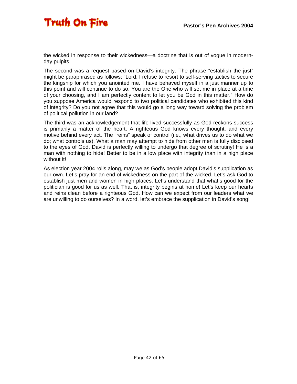the wicked in response to their wickedness—a doctrine that is out of vogue in modernday pulpits.

The second was a request based on David's integrity. The phrase "establish the just" might be paraphrased as follows: "Lord, I refuse to resort to self-serving tactics to secure the kingship for which you anointed me. I have behaved myself in a just manner up to this point and will continue to do so. You are the One who will set me in place at a time of your choosing, and I am perfectly content to let you be God in this matter." How do you suppose America would respond to two political candidates who exhibited this kind of integrity? Do you not agree that this would go a long way toward solving the problem of political pollution in our land?

The third was an acknowledgement that life lived successfully as God reckons success is primarily a matter of the heart. A righteous God knows every thought, and every motive behind every act. The "reins" speak of control (i.e., what drives us to do what we do; what controls us). What a man may attempt to hide from other men is fully disclosed to the eyes of God. David is perfectly willing to undergo that degree of scrutiny! He is a man with nothing to hide! Better to be in a low place with integrity than in a high place without it!

As election year 2004 rolls along, may we as God's people adopt David's supplication as our own. Let's pray for an end of wickedness on the part of the wicked. Let's ask God to establish just men and women in high places. Let's understand that what's good for the politician is good for us as well. That is, integrity begins at home! Let's keep our hearts and reins clean before a righteous God. How can we expect from our leaders what we are unwilling to do ourselves? In a word, let's embrace the supplication in David's song!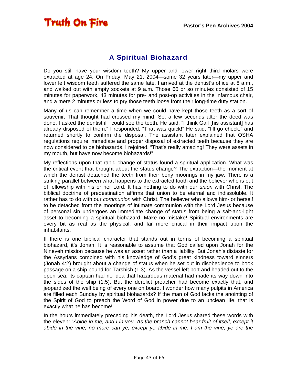### A Spiritual Biohazard

<span id="page-42-0"></span>Do you still have your wisdom teeth? My upper and lower right third molars were extracted at age 24. On Friday, May 21, 2004—some 32 years later—my upper and lower left wisdom teeth suffered the same fate. I arrived at the dentist's office at 8 a.m., and walked out with empty sockets at 9 a.m. Those 60 or so minutes consisted of 15 minutes for paperwork, 43 minutes for pre- and post-op activities in the infamous chair, and a mere 2 minutes or less to pry those teeth loose from their long-time duty station.

Many of us can remember a time when we could have kept those teeth as a sort of souvenir. That thought had crossed my mind. So, a few seconds after the deed was done, I asked the dentist if I could see the teeth. He said, "I think Gail [his assistant] has already disposed of them." I responded, "That was quick!" He said, "I'll go check," and returned shortly to confirm the disposal. The assistant later explained that OSHA regulations require immediate and proper disposal of extracted teeth because they are now considered to be biohazards. I rejoined, "That's really amazing! They were assets in my mouth, but have now become biohazards!"

My reflections upon that rapid change of status found a spiritual application. What was the critical event that brought about the status change? The extraction—the moment at which the dentist detached the teeth from their bony moorings in my jaw. There is a striking parallel between what happens to the extracted tooth and the believer who is out of fellowship with his or her Lord. It has nothing to do with our *union* with Christ. The biblical doctrine of predestination affirms that union to be eternal and indissoluble. It rather has to do with our *communion* with Christ. The believer who allows him- or herself to be detached from the moorings of intimate communion with the Lord Jesus because of personal sin undergoes an immediate change of status from being a salt-and-light asset to becoming a spiritual biohazard. Make no mistake! Spiritual environments are every bit as real as the physical, and far more critical in their impact upon the inhabitants.

If there is one biblical character that stands out in terms of becoming a spiritual biohazard, it's Jonah. It is reasonable to assume that God called upon Jonah for the Nineveh mission because he was an asset rather than a liability. But Jonah's distaste for the Assyrians combined with his knowledge of God's great kindness toward sinners (Jonah 4:2) brought about a change of status when he set out in disobedience to book passage on a ship bound for Tarshish (1:3). As the vessel left port and headed out to the open sea, its captain had no idea that hazardous material had made its way down into the sides of the ship (1:5). But the derelict preacher had become exactly that, and jeopardized the well being of every one on board. I wonder how many pulpits in America are filled each Sunday by spiritual biohazards? If the man of God lacks the anointing of the Spirit of God to preach the Word of God in power due to an unclean life, that is exactly what he has become!

In the hours immediately preceding his death, the Lord Jesus shared these words with the eleven: "*Abide in me, and I in you. As the branch cannot bear fruit of itself, except it abide in the vine; no more can ye, except ye abide in me. I am the vine, ye are the*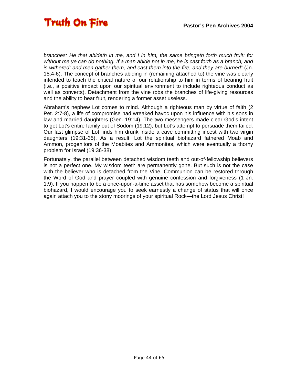*branches: He that abideth in me, and I in him, the same bringeth forth much fruit: for without me ye can do nothing. If a man abide not in me, he is cast forth as a branch, and is withered; and men gather them, and cast them into the fire, and they are burned*" (Jn. 15:4-6). The concept of branches abiding in (remaining attached to) the vine was clearly intended to teach the critical nature of our relationship to him in terms of bearing fruit (i.e., a positive impact upon our spiritual environment to include righteous conduct as well as converts). Detachment from the vine robs the branches of life-giving resources and the ability to bear fruit, rendering a former asset useless.

Abraham's nephew Lot comes to mind. Although a righteous man by virtue of faith (2 Pet. 2:7-8), a life of compromise had wreaked havoc upon his influence with his sons in law and married daughters (Gen. 19:14). The two messengers made clear God's intent to get Lot's entire family out of Sodom (19:12), but Lot's attempt to persuade them failed. Our last glimpse of Lot finds him drunk inside a cave committing incest with two virgin daughters (19:31-35). As a result, Lot the spiritual biohazard fathered Moab and Ammon, progenitors of the Moabites and Ammonites, which were eventually a thorny problem for Israel (19:36-38).

Fortunately, the parallel between detached wisdom teeth and out-of-fellowship believers is not a perfect one. My wisdom teeth are permanently gone. But such is not the case with the believer who is detached from the Vine. Communion can be restored through the Word of God and prayer coupled with genuine confession and forgiveness (1 Jn. 1:9). If you happen to be a once-upon-a-time asset that has somehow become a spiritual biohazard, I would encourage you to seek earnestly a change of status that will once again attach you to the stony moorings of your spiritual Rock—the Lord Jesus Christ!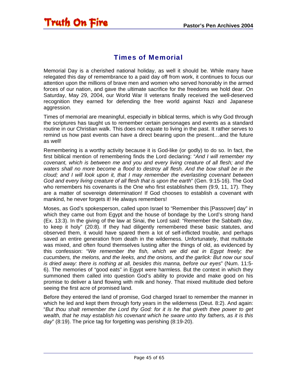<span id="page-44-0"></span>

#### Times of Memorial

Memorial Day is a cherished national holiday, as well it should be. While many have relegated this day of remembrance to a paid day off from work, it continues to focus our attention upon the millions of brave men and women who served honorably in the armed forces of our nation, and gave the ultimate sacrifice for the freedoms we hold dear. On Saturday, May 29, 2004, our World War II veterans finally received the well-deserved recognition they earned for defending the free world against Nazi and Japanese aggression.

Times of memorial are meaningful, especially in biblical terms, which is why God through the scriptures has taught us to remember certain personages and events as a standard routine in our Christian walk. This does not equate to living in the past. It rather serves to remind us how past events can have a direct bearing upon the present…and the future as well!

Remembering is a worthy activity because it is God-like (or godly) to do so. In fact, the first biblical mention of remembering finds the Lord declaring: "*And I will remember my covenant, which is between me and you and every living creature of all flesh; and the*  waters shall no more become a flood to destroy all flesh. And the bow shall be in the *cloud; and I will look upon it, that I may remember the everlasting covenant between God and every living creature of all flesh that is upon the earth*" (Gen. 9:15-16). The God who remembers his covenants is the One who first establishes them (9:9, 11, 17). They are a matter of sovereign determination! If God chooses to establish a covenant with mankind, he never forgets it! He always remembers!

Moses, as God's spokesperson, called upon Israel to "Remember this [Passover] day" in which they came out from Egypt and the house of bondage by the Lord's strong hand (Ex. 13:3). In the giving of the law at Sinai, the Lord said: "Remember the Sabbath day, to keep it holy" (20:8). If they had diligently remembered these basic statutes, and observed them, it would have spared them a lot of self-inflicted trouble, and perhaps saved an entire generation from death in the wilderness. Unfortunately, that multitude was mixed, and often found themselves lusting after the things of old, as evidenced by this confession: "*We remember the fish, which we did eat in Egypt freely; the cucumbers, the melons, and the leeks, and the onions, and the garlick: But now our soul is dried away: there is nothing at all, besides this manna, before our eyes*" (Num. 11:5- 6). The memories of "good eats" in Egypt were harmless. But the context in which they summoned them called into question God's ability to provide and make good on his promise to deliver a land flowing with milk and honey. That mixed multitude died before seeing the first acre of promised land.

Before they entered the land of promise, God charged Israel to remember the manner in which he led and kept them through forty years in the wilderness (Deut. 8:2). And again: "*But thou shalt remember the Lord thy God: for it is he that giveth thee power to get wealth, that he may establish his covenant which he sware unto thy fathers, as it is this day*" (8:19). The price tag for forgetting was perishing (8:19-20).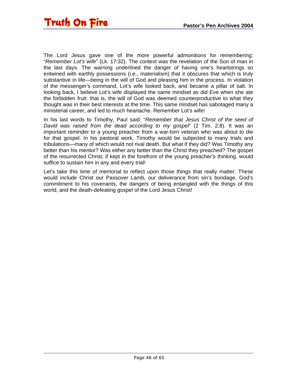The Lord Jesus gave one of the more powerful admonitions for remembering: "*Remember Lot's wife*" (Lk. 17:32). The context was the revelation of the Son of man in the last days. The warning underlined the danger of having one's heartstrings so entwined with earthly possessions (i.e., materialism) that it obscures that which is truly substantive in life—being in the will of God and pleasing him in the process. In violation of the messenger's command, Lot's wife looked back, and became a pillar of salt. In looking back, I believe Lot's wife displayed the same mindset as did Eve when she ate the forbidden fruit: that is, the will of God was deemed counterproductive to what they thought was in their best interests at the time. This same mindset has sabotaged many a ministerial career, and led to much heartache. Remember Lot's wife!

In his last words to Timothy, Paul said: "*Remember that Jesus Christ of the seed of David was raised from the dead according to my gospel*" (2 Tim. 2:8). It was an important reminder to a young preacher from a war-torn veteran who was about to die for that gospel. In his pastoral work, Timothy would be subjected to many trials and tribulations—many of which would not rival death. But what if they did? Was Timothy any better than his mentor? Was either any better than the Christ they preached? The gospel of the resurrected Christ, if kept in the forefront of the young preacher's thinking, would suffice to sustain him in any and every trial!

Let's take this time of memorial to reflect upon those things that really matter. These would include Christ our Passover Lamb, our deliverance from sin's bondage, God's commitment to his covenants, the dangers of being entangled with the things of this world, and the death-defeating gospel of the Lord Jesus Christ!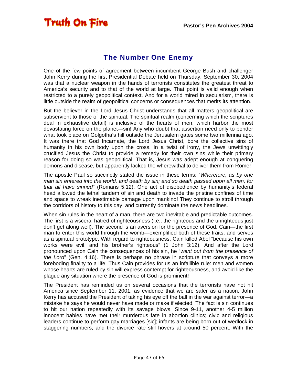### The Number One Enemy

<span id="page-46-0"></span>One of the few points of agreement between incumbent George Bush and challenger John Kerry during the first Presidential Debate held on Thursday, September 30, 2004 was that a nuclear weapon in the hands of terrorists constitutes the greatest threat to America's security and to that of the world at large. That point is valid enough when restricted to a purely geopolitical context. And for a world mired in secularism, there is little outside the realm of geopolitical concerns or consequences that merits its attention.

But the believer in the Lord Jesus Christ understands that all matters geopolitical are subservient to those of the spiritual. The spiritual realm (concerning which the scriptures deal in exhaustive detail) is inclusive of the hearts of men, which harbor the most devastating force on the planet—sin! Any who doubt that assertion need only to ponder what took place on Golgotha's hill outside the Jerusalem gates some two millennia ago. It was there that God Incarnate, the Lord Jesus Christ, bore the collective sins of humanity in his own body upon the cross. In a twist of irony, the Jews unwittingly crucified Jesus the Christ to provide a remedy for their own sins while their primary reason for doing so was geopolitical. That is, Jesus was adept enough at conquering demons and disease, but apparently lacked the wherewithal to deliver them from Rome!

The apostle Paul so succinctly stated the issue in these terms: "*Wherefore, as by one man sin entered into the world, and death by sin; and so death passed upon all men, for that all have sinned*" (Romans 5:12). One act of disobedience by humanity's federal head allowed the lethal tandem of sin and death to invade the pristine confines of time and space to wreak inestimable damage upon mankind! They continue to stroll through the corridors of history to this day, and currently dominate the news headlines.

When sin rules in the heart of a man, there are two inevitable and predictable outcomes. The first is a visceral hatred of righteousness (i.e., the righteous and the unrighteous just don't get along well). The second is an aversion for the presence of God. Cain—the first man to enter this world through the womb—exemplified both of these traits, and serves as a spiritual prototype. With regard to righteousness, Cain killed Abel "because his own works were evil, and his brother's righteous" (1 John 3:12). And after the Lord pronounced upon Cain the consequences of his sin, he "*went out from the presence of the Lord*" (Gen. 4:16). There is perhaps no phrase in scripture that conveys a more foreboding finality to a life! Thus Cain provides for us an infallible rule: men and women whose hearts are ruled by sin will express contempt for righteousness, and avoid like the plague any situation where the presence of God is prominent!

The President has reminded us on several occasions that the terrorists have not hit America since September 11, 2001, as evidence that we are safer as a nation. John Kerry has accused the President of taking his eye off the ball in the war against terror—a mistake he says he would never have made or make if elected. The fact is sin continues to hit our nation repeatedly with its savage blows. Since 9-11, another 4-5 million innocent babies have met their murderous fate in abortion clinics; civic and religious leaders continue to perform gay marriages [sic]; infants are being born out of wedlock in staggering numbers; and the divorce rate still hovers at around 50 percent. With the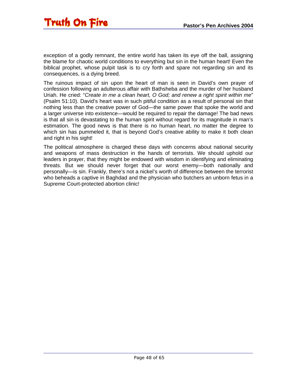exception of a godly remnant, the entire world has taken its eye off the ball, assigning the blame for chaotic world conditions to everything but sin in the human heart! Even the biblical prophet, whose pulpit task is to cry forth and spare not regarding sin and its consequences, is a dying breed.

The ruinous impact of sin upon the heart of man is seen in David's own prayer of confession following an adulterous affair with Bathsheba and the murder of her husband Uriah. He cried: "*Create in me a clean heart, O God; and renew a right spirit within me*" (Psalm 51:10). David's heart was in such pitiful condition as a result of personal sin that nothing less than the creative power of God—the same power that spoke the world and a larger universe into existence—would be required to repair the damage! The bad news is that all sin is devastating to the human spirit without regard for its magnitude in man's estimation. The good news is that there is no human heart, no matter the degree to which sin has pummeled it, that is beyond God's creative ability to make it both clean and right in his sight!

The political atmosphere is charged these days with concerns about national security and weapons of mass destruction in the hands of terrorists. We should uphold our leaders in prayer, that they might be endowed with wisdom in identifying and eliminating threats. But we should never forget that our worst enemy—both nationally and personally—is sin. Frankly, there's not a nickel's worth of difference between the terrorist who beheads a captive in Baghdad and the physician who butchers an unborn fetus in a Supreme Court-protected abortion clinic!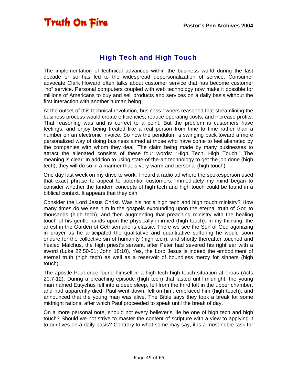### High Tech and High Touch

<span id="page-48-0"></span>The implementation of technical advances within the business world during the last decade or so has led to the widespread depersonalization of service. Consumer advocate Clark Howard often talks about customer service that has become customer "no" service. Personal computers coupled with web technology now make it possible for millions of Americans to buy and sell products and services on a daily basis without the first interaction with another human being.

At the outset of this technical revolution, business owners reasoned that streamlining the business process would create efficiencies, reduce operating costs, and increase profits. That reasoning was and is correct to a point. But the problem is customers have feelings, and enjoy being treated like a real person from time to time rather than a number on an electronic invoice. So now the pendulum is swinging back toward a more personalized way of doing business aimed at those who have come to feel alienated by the companies with whom they deal. The claim being made by many businesses to attract the alienated consists of these four words: "High Tech, High Touch!" The meaning is clear: In addition to using state-of-the-art technology to get the job done (high tech), they will do so in a manner that is very warm and personal (high touch).

One day last week on my drive to work, I heard a radio ad where the spokesperson used that exact phrase to appeal to potential customers. Immediately my mind began to consider whether the tandem concepts of high tech and high touch could be found in a biblical context. It appears that they can.

Consider the Lord Jesus Christ. Was his not a high tech and high touch ministry? How many times do we see him in the gospels expounding upon the eternal truth of God to thousands (high tech), and then augmenting that preaching ministry with the healing touch of his gentle hands upon the physically infirmed (high touch). In my thinking, the arrest in the Garden of Gethsemane is classic. There we see the Son of God agonizing in prayer as he anticipated the qualitative and quantitative suffering he would soon endure for the collective sin of humanity (high tech), and shortly thereafter touched and healed Malchus, the high priest's servant, after Peter had severed his right ear with a sword (Luke 22:50-51; John 18:10). Yes, the Lord Jesus is indeed the embodiment of eternal truth (high tech) as well as a reservoir of boundless mercy for sinners (high touch).

The apostle Paul once found himself in a high tech high touch situation at Troas (Acts 20:7-12). During a preaching episode (high tech) that lasted until midnight, the young man named Eutychus fell into a deep sleep, fell from the third loft in the upper chamber, and had apparently died. Paul went down, fell on him, embraced him (high touch), and announced that the young man was alive. The Bible says they took a break for some midnight rations, after which Paul proceeded to speak until the break of day.

On a more personal note, should not every believer's life be one of high tech and high touch? Should we not strive to master the content of scripture with a view to applying it to our lives on a daily basis? Contrary to what some may say, it is a most noble task for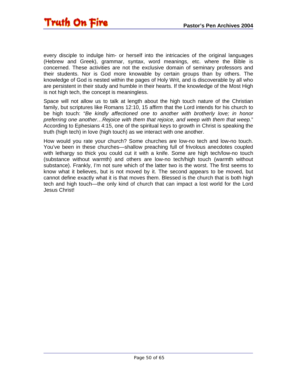every disciple to indulge him- or herself into the intricacies of the original languages (Hebrew and Greek), grammar, syntax, word meanings, etc. where the Bible is concerned. These activities are not the exclusive domain of seminary professors and their students. Nor is God more knowable by certain groups than by others. The knowledge of God is nested within the pages of Holy Writ, and is discoverable by all who are persistent in their study and humble in their hearts. If the knowledge of the Most High is not high tech, the concept is meaningless.

Space will not allow us to talk at length about the high touch nature of the Christian family, but scriptures like Romans 12:10, 15 affirm that the Lord intends for his church to be high touch: "*Be kindly affectioned one to another with brotherly love; in honor preferring one another…Rejoice with them that rejoice, and weep with them that weep*." According to Ephesians 4:15, one of the spiritual keys to growth in Christ is speaking the truth (high tech) in love (high touch) as we interact with one another.

How would you rate your church? Some churches are low-no tech and low-no touch. You've been in these churches—shallow preaching full of frivolous anecdotes coupled with lethargy so thick you could cut it with a knife. Some are high tech/low-no touch (substance without warmth) and others are low-no tech/high touch (warmth without substance). Frankly, I'm not sure which of the latter two is the worst. The first seems to know what it believes, but is not moved by it. The second appears to be moved, but cannot define exactly what it is that moves them. Blessed is the church that is both high tech and high touch—the only kind of church that can impact a lost world for the Lord Jesus Christ!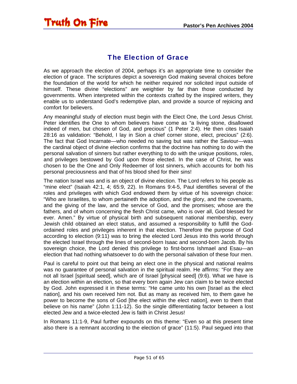### The Election of Grace

<span id="page-50-0"></span>As we approach the election of 2004, perhaps it's an appropriate time to consider the election of grace. The scriptures depict a sovereign God making several choices before the foundation of the world for which he neither required nor solicited input outside of himself. These divine "elections" are weightier by far than those conducted by governments. When interpreted within the contexts crafted by the inspired writers, they enable us to understand God's redemptive plan, and provide a source of rejoicing and comfort for believers.

Any meaningful study of election must begin with the Elect One, the Lord Jesus Christ. Peter identifies the One to whom believers have come as "a living stone, disallowed indeed of men, but chosen of God, and precious" (1 Peter 2:4). He then cites Isaiah 28:16 as validation: "Behold, I lay in Sion a chief corner stone, elect, precious" (2:6). The fact that God Incarnate—who needed no saving but was rather the Saviour—was the cardinal object of divine election confirms that the doctrine has nothing to do with the personal salvation of sinners but rather everything to do with the unique positions, roles, and privileges bestowed by God upon those elected. In the case of Christ, he was chosen to be the One and Only Redeemer of lost sinners, which accounts for both his personal preciousness and that of his blood shed for their sins!

The nation Israel was and is an object of divine election. The Lord refers to his people as "mine elect" (Isaiah 42:1, 4; 65:9, 22). In Romans 9:4-5, Paul identifies several of the roles and privileges with which God endowed them by virtue of his sovereign choice: "Who are Israelites, to whom pertaineth the adoption, and the glory, and the covenants, and the giving of the law, and the service of God, and the promises; whose are the fathers, and of whom concerning the flesh Christ came, who is over all, God blessed for ever. Amen." By virtue of physical birth and subsequent national membership, every Jewish child obtained an elect status, and assumed a responsibility to fulfill the Godordained roles and privileges inherent in that election. Therefore the purpose of God according to election (9:11) was to bring the elected Lord Jesus into this world through the elected Israel through the lines of second-born Isaac and second-born Jacob. By his sovereign choice, the Lord denied this privilege to first-borns Ishmael and Esau—an election that had nothing whatsoever to do with the personal salvation of these four men.

Paul is careful to point out that being an elect one in the physical and national realms was no guarantee of personal salvation in the spiritual realm. He affirms: "For they are not all Israel [spiritual seed], which are of Israel [physical seed] (9:6). What we have is an election within an election, so that every born again Jew can claim to be twice elected by God. John expressed it in these terms: "He came unto his own [Israel as the elect nation], and his own received him not. But as many as received him, to them gave he power to become the sons of God [the elect within the elect nation], even to them that believe on his name" (John 1:11-12). So the single differentiating factor between a lost elected Jew and a twice-elected Jew is faith in Christ Jesus!

In Romans 11:1-9, Paul further expounds on this theme: "Even so at this present time also there is a remnant according to the election of grace" (11:5). Paul segued into that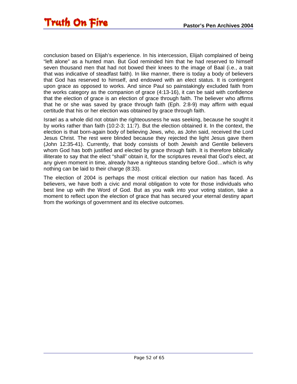conclusion based on Elijah's experience. In his intercession, Elijah complained of being "left alone" as a hunted man. But God reminded him that he had reserved to himself seven thousand men that had not bowed their knees to the image of Baal (i.e., a trait that was indicative of steadfast faith). In like manner, there is today a body of believers that God has reserved to himself, and endowed with an elect status. It is contingent upon grace as opposed to works. And since Paul so painstakingly excluded faith from the works category as the companion of grace (4:13-16), it can be said with confidence that the election of grace is an election of grace through faith. The believer who affirms that he or she was saved by grace through faith (Eph. 2:8-9) may affirm with equal certitude that his or her election was obtained by grace through faith.

Israel as a whole did not obtain the righteousness he was seeking, because he sought it by works rather than faith (10:2-3; 11:7). But the election obtained it. In the context, the election is that born-again body of believing Jews, who, as John said, received the Lord Jesus Christ. The rest were blinded because they rejected the light Jesus gave them (John 12:35-41). Currently, that body consists of both Jewish and Gentile believers whom God has both justified and elected by grace through faith. It is therefore biblically illiterate to say that the elect "shall" obtain it, for the scriptures reveal that God's elect, at any given moment in time, already have a righteous standing before God…which is why nothing can be laid to their charge (8:33).

The election of 2004 is perhaps the most critical election our nation has faced. As believers, we have both a civic and moral obligation to vote for those individuals who best line up with the Word of God. But as you walk into your voting station, take a moment to reflect upon the election of grace that has secured your eternal destiny apart from the workings of government and its elective outcomes.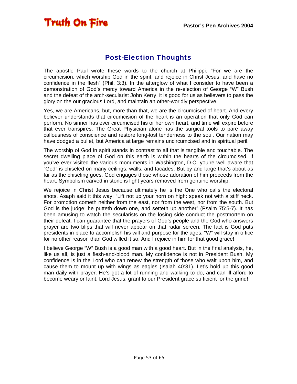### Post-Election Thoughts

<span id="page-52-0"></span>The apostle Paul wrote these words to the church at Philippi: "For we are the circumcision, which worship God in the spirit, and rejoice in Christ Jesus, and have no confidence in the flesh" (Phil. 3:3). In the afterglow of what I consider to have been a demonstration of God's mercy toward America in the re-election of George "W" Bush and the defeat of the arch-secularist John Kerry, it is good for us as believers to pass the glory on the our gracious Lord, and maintain an other-worldly perspective.

Yes, we are Americans, but, more than that, we are the circumcised of heart. And every believer understands that circumcision of the heart is an operation that only God can perform. No sinner has ever circumcised his or her own heart, and time will expire before that ever transpires. The Great Physician alone has the surgical tools to pare away callousness of conscience and restore long-lost tenderness to the soul. Our nation may have dodged a bullet, but America at large remains uncircumcised and in spiritual peril.

The worship of God in spirit stands in contrast to all that is tangible and touchable. The secret dwelling place of God on this earth is within the hearts of the circumcised. If you've ever visited the various monuments in Washington, D.C. you're well aware that "God" is chiseled on many ceilings, walls, and facades. But by and large that's about as far as the chiseling goes. God engages those whose adoration of him proceeds from the heart. Symbolism carved in stone is light years removed from genuine worship.

We rejoice in Christ Jesus because ultimately he is the One who calls the electoral shots. Asaph said it this way: "Lift not up your horn on high: speak not with a stiff neck. For promotion cometh neither from the east, nor from the west, nor from the south. But God is the judge: he putteth down one, and setteth up another" (Psalm 75:5-7). It has been amusing to watch the secularists on the losing side conduct the postmortem on their defeat. I can guarantee that the prayers of God's people and the God who answers prayer are two blips that will never appear on that radar screen. The fact is God puts presidents in place to accomplish his will and purpose for the ages. "W" will stay in office for no other reason than God willed it so. And I rejoice in him for that good grace!

I believe George "W" Bush is a good man with a good heart. But in the final analysis, he, like us all, is just a flesh-and-blood man. My confidence is not in President Bush. My confidence is in the Lord who can renew the strength of those who wait upon him, and cause them to mount up with wings as eagles (Isaiah 40:31). Let's hold up this good man daily with prayer. He's got a lot of running and walking to do, and can ill afford to become weary or faint. Lord Jesus, grant to our President grace sufficient for the grind!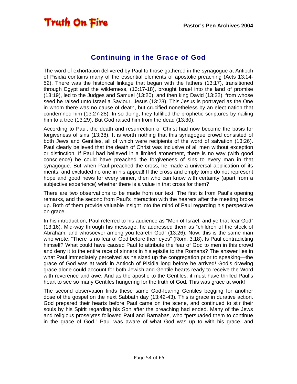<span id="page-53-0"></span>

#### Continuing in the Grace of God

The word of exhortation delivered by Paul to those gathered in the synagogue at Antioch of Pisidia contains many of the essential elements of apostolic preaching (Acts 13:14- 52). There was the historical linkage that began with the fathers (13:17), transitioned through Egypt and the wilderness, (13:17-18), brought Israel into the land of promise (13:19), led to the Judges and Samuel (13:20), and then king David (13:22), from whose seed he raised unto Israel a Saviour, Jesus (13:23). This Jesus is portrayed as the One in whom there was no cause of death, but crucified nonetheless by an elect nation that condemned him (13:27-28). In so doing, they fulfilled the prophetic scriptures by nailing him to a tree (13:29). But God raised him from the dead (13:30).

According to Paul, the death and resurrection of Christ had now become the basis for forgiveness of sins (13:38). It is worth nothing that this synagogue crowd consisted of both Jews and Gentiles, all of which were recipients of the word of salvation (13:26). Paul clearly believed that the death of Christ was inclusive of all men without exception or distinction. If Paul had believed in a limited atonement, there is no way (with good conscience) he could have preached the forgiveness of sins to every man in that synagogue. But when Paul preached the cross, he made a universal application of its merits, and excluded no one in his appeal! If the cross and empty tomb do not represent hope and good news for every sinner, then who can know with certainty (apart from a subjective experience) whether there is a value in that cross for them?

There are two observations to be made from our text. The first is from Paul's opening remarks, and the second from Paul's interaction with the hearers after the meeting broke up. Both of them provide valuable insight into the mind of Paul regarding his perspective on grace.

In his introduction, Paul referred to his audience as "Men of Israel, and ye that fear God" (13:16). Mid-way through his message, he addressed them as "children of the stock of Abraham, and whosoever among you feareth God" (13:26). Now, this is the same man who wrote: "There is no fear of God before their eyes" (Rom. 3:18). Is Paul contradicting himself? What could have caused Paul to attribute the fear of God to men in this crowd and deny it to the entire race of sinners in his epistle to the Romans? The answer lies in what Paul immediately perceived as he sized up the congregation prior to speaking—the grace of God was at work in Antioch of Pisidia long before he arrived! God's drawing grace alone could account for both Jewish and Gentile hearts ready to receive the Word with reverence and awe. And as the apostle to the Gentiles, it must have thrilled Paul's heart to see so many Gentiles hungering for the truth of God. This was grace at work!

The second observation finds these same God-fearing Gentiles begging for another dose of the gospel on the next Sabbath day (13:42-43). This is grace in durative action. God prepared their hearts before Paul came on the scene, and continued to stir their souls by his Spirit regarding his Son after the preaching had ended. Many of the Jews and religious proselytes followed Paul and Barnabas, who "persuaded them to continue in the grace of God." Paul was aware of what God was up to with his grace, and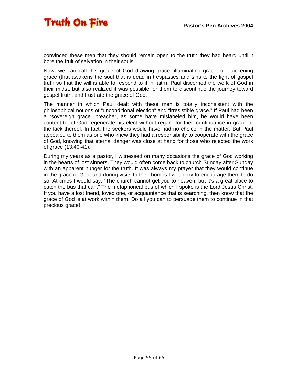convinced these men that they should remain open to the truth they had heard until it bore the fruit of salvation in their souls!

Now, we can call this grace of God drawing grace, illuminating grace, or quickening grace (that awakens the soul that is dead in trespasses and sins to the light of gospel truth so that the will is able to respond to it in faith). Paul discerned the work of God in their midst, but also realized it was possible for them to discontinue the journey toward gospel truth, and frustrate the grace of God.

The manner in which Paul dealt with these men is totally inconsistent with the philosophical notions of "unconditional election" and "irresistible grace." If Paul had been a "sovereign grace" preacher, as some have mislabeled him, he would have been content to let God regenerate his elect without regard for their continuance in grace or the lack thereof. In fact, the seekers would have had no choice in the matter. But Paul appealed to them as one who knew they had a responsibility to cooperate with the grace of God, knowing that eternal danger was close at hand for those who rejected the work of grace (13:40-41).

During my years as a pastor, I witnessed on many occasions the grace of God working in the hearts of lost sinners. They would often come back to church Sunday after Sunday with an apparent hunger for the truth. It was always my prayer that they would continue in the grace of God, and during visits to their homes I would try to encourage them to do so. At times I would say, "The church cannot get you to heaven, but it's a great place to catch the bus that can." The metaphorical bus of which I spoke is the Lord Jesus Christ. If you have a lost friend, loved one, or acquaintance that is searching, then know that the grace of God is at work within them. Do all you can to persuade them to continue in that precious grace!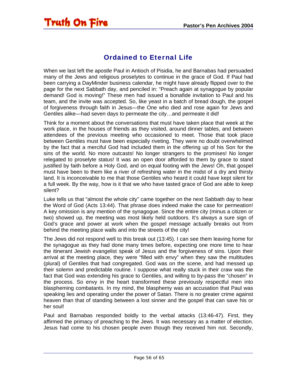### Ordained to Eternal Life

<span id="page-55-0"></span>When we last left the apostle Paul in Antioch of Pisidia, he and Barnabas had persuaded many of the Jews and religious proselytes to continue in the grace of God. If Paul had been carrying a DayMinder business calendar, he might have already flipped over to the page for the next Sabbath day, and penciled in: "Preach again at synagogue by popular demand! God is moving!" These men had issued a bonafide invitation to Paul and his team, and the invite was accepted. So, like yeast in a batch of bread dough, the gospel of forgiveness through faith in Jesus—the One who died and rose again for Jews and Gentiles alike—had seven days to permeate the city…and permeate it did!

Think for a moment about the conversations that must have taken place that week at the work place, in the houses of friends as they visited, around dinner tables, and between attendees of the previous meeting who occasioned to meet. Those that took place between Gentiles must have been especially riveting. They were no doubt overwhelmed by the fact that a merciful God had included them in the offering up of his Son for the sins of the world. No more outcasts! No longer strangers to the promises! No longer relegated to proselyte status! It was an open door afforded to them by grace to stand justified by faith before a Holy God, and on equal footing with the Jews! Oh, that gospel must have been to them like a river of refreshing water in the midst of a dry and thirsty land. It is inconceivable to me that those Gentiles who heard it could have kept silent for a full week. By the way, how is it that we who have tasted grace of God are able to keep silent?

Luke tells us that "almost the whole city" came together on the next Sabbath day to hear the Word of God (Acts 13:44). That phrase does indeed make the case for permeation! A key omission is any mention of the synagogue. Since the entire city (minus a citizen or two) showed up, the meeting was most likely held outdoors. It's always a sure sign of God's grace and power at work when the gospel message actually breaks out from behind the meeting place walls and into the streets of the city!

The Jews did not respond well to this break out (13:45). I can see them leaving home for the synagogue as they had done many times before, expecting one more time to hear the itinerant Jewish evangelist speak of Jesus and the forgiveness of sins. Upon their arrival at the meeting place, they were "filled with envy" when they saw the multitudes (plural) of Gentiles that had congregated. God was on the scene, and had messed up their solemn and predictable routine. I suppose what really stuck in their craw was the fact that God was extending his grace to Gentiles, and willing to by-pass the "chosen" in the process. So envy in the heart transformed these previously respectful men into blaspheming combatants. In my mind, the blasphemy was an accusation that Paul was speaking lies and operating under the power of Satan. There is no greater crime against heaven than that of standing between a lost sinner and the gospel that can save his or her soul!

Paul and Barnabas responded boldly to the verbal attacks (13:46-47). First, they affirmed the primacy of preaching to the Jews. It was necessary as a matter of election. Jesus had come to his chosen people even though they received him not. Secondly,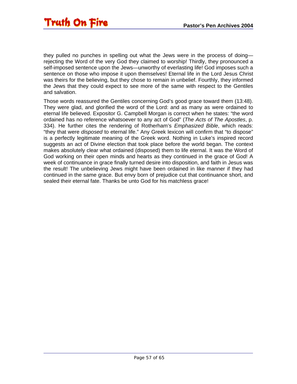they pulled no punches in spelling out what the Jews were in the process of doing rejecting the Word of the very God they claimed to worship! Thirdly, they pronounced a self-imposed sentence upon the Jews—unworthy of everlasting life! God imposes such a sentence on those who impose it upon themselves! Eternal life in the Lord Jesus Christ was theirs for the believing, but they chose to remain in unbelief. Fourthly, they informed the Jews that they could expect to see more of the same with respect to the Gentiles and salvation.

Those words reassured the Gentiles concerning God's good grace toward them (13:48). They were glad, and glorified the word of the Lord: and as many as were ordained to eternal life believed. Expositor G. Campbell Morgan is correct when he states: "the word ordained has no reference whatsoever to any act of God" (*The Acts of The Apostles*, p. 334). He further cites the rendering of Rotherham's *Emphasized Bible*, which reads: "they that were *disposed* to eternal life." Any Greek lexicon will confirm that "to dispose" is a perfectly legitimate meaning of the Greek word. Nothing in Luke's inspired record suggests an act of Divine election that took place before the world began. The context makes absolutely clear what ordained (disposed) them to life eternal. It was the Word of God working on their open minds and hearts as they continued in the grace of God! A week of continuance in grace finally turned desire into disposition, and faith in Jesus was the result! The unbelieving Jews might have been ordained in like manner if they had continued in the same grace. But envy born of prejudice cut that continuance short, and sealed their eternal fate. Thanks be unto God for his matchless grace!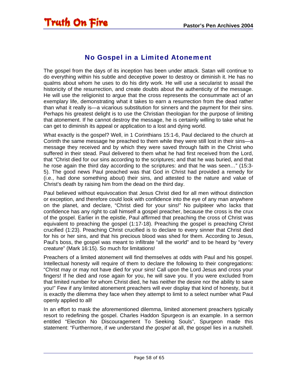#### No Gospel in a Limited Atonement

<span id="page-57-0"></span>The gospel from the days of its inception has been under attack. Satan will continue to do everything within his subtle and deceptive power to destroy or diminish it. He has no qualms about whom he uses to do his dirty work. He will use a secularist to assail the historicity of the resurrection, and create doubts about the authenticity of the message. He will use the religionist to argue that the cross represents the consummate act of an exemplary life, demonstrating what it takes to earn a resurrection from the dead rather than what it really is—a vicarious substitution for sinners and the payment for their sins. Perhaps his greatest delight is to use the Christian theologian for the purpose of limiting that atonement. If he cannot destroy the message, he is certainly willing to take what he can get to diminish its appeal or application to a lost and dying world.

What exactly is the gospel? Well, in 1 Corinthians 15:1-6, Paul declared to the church at Corinth the same message he preached to them while they were still lost in their sins—a message they received and by which they were saved through faith in the Christ who suffered in their stead. Paul delivered to them what he had first received from the Lord, that "Christ died for our sins according to the scriptures; and that he was buried, and that he rose again the third day according to the scriptures: and that he was seen…" (15:3- 5). The good news Paul preached was that God in Christ had provided a remedy for (i.e., had done something about) their sins, and attested to the nature and value of Christ's death by raising him from the dead on the third day.

Paul believed without equivocation that Jesus Christ died for all men without distinction or exception, and therefore could look with confidence into the eye of any man anywhere on the planet, and declare, "Christ died for your sins!" No pulpiteer who lacks that confidence has any right to call himself a gospel preacher, because the cross is the crux of the gospel. Earlier in the epistle, Paul affirmed that preaching the cross of Christ was equivalent to preaching the gospel (1:17-18). Preaching the gospel is preaching Christ crucified (1:23). Preaching Christ crucified is to declare to every sinner that Christ died for his or her sins, and that his precious blood was shed for them. According to Jesus, Paul's boss, the gospel was meant to infiltrate "all the world" and to be heard by "every creature" (Mark 16:15). So much for limitations!

Preachers of a limited atonement will find themselves at odds with Paul and his gospel. Intellectual honesty will require of them to declare the following to their congregations: "Christ may or may not have died for your sins! Call upon the Lord Jesus and cross your fingers! If he died and rose again for you, he will save you. If you were excluded from that limited number for whom Christ died, he has neither the desire nor the ability to save you!" Few if any limited atonement preachers will ever display that kind of honesty, but it is exactly the dilemma they face when they attempt to limit to a select number what Paul openly applied to all!

In an effort to mask the aforementioned dilemma, limited atonement preachers typically resort to redefining the gospel. Charles Haddon Spurgeon is an example. In a sermon entitled "Election No Discouragement To Seeking Souls", Spurgeon made this statement: "Furthermore, if we understand *the gospel* at all, the gospel lies in a nutshell.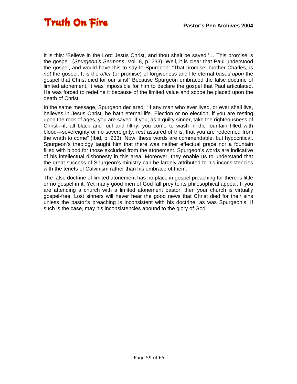It is this: 'Believe in the Lord Jesus Christ, and thou shalt be saved.'… This promise is the gospel" (*Spurgeon's Sermons*, Vol. 8, p. 233). Well, it is clear that Paul understood the gospel, and would have this to say to Spurgeon: "That promise, brother Charles, is *not* the gospel. It is the *offer* (or promise) of forgiveness and life eternal *based upon* the gospel that Christ died for our sins!" Because Spurgeon embraced the false doctrine of limited atonement, it was impossible for him to declare the gospel that Paul articulated. He was forced to redefine it because of the limited value and scope he placed upon the death of Christ.

In the same message, Spurgeon declared: "If any man who ever lived, or ever shall live, believes in Jesus Christ, he hath eternal life. Election or no election, if you are resting upon the rock of ages, you are saved. If you, as a guilty sinner, take the righteousness of Christ—if, all black and foul and filthy, you come to wash in the fountain filled with blood—sovereignty or no sovereignty, rest assured of this, that you are redeemed from the wrath to come" (Ibid, p. 233). Now, these words are commendable, but hypocritical. Spurgeon's theology taught him that there was neither effectual grace nor a fountain filled with blood for those excluded from the atonement. Spurgeon's words are indicative of his intellectual dishonesty in this area. Moreover, they enable us to understand that the great success of Spurgeon's ministry can be largely attributed to his inconsistencies with the tenets of Calvinism rather than his embrace of them.

The false doctrine of limited atonement has no place in gospel preaching for there is little or no gospel in it. Yet many good men of God fall prey to its philosophical appeal. If you are attending a church with a limited atonement pastor, then your church is virtually gospel-free. Lost sinners will never hear the good news that Christ died for their sins unless the pastor's preaching is inconsistent with his doctrine, as was Spurgeon's. If such is the case, may his inconsistencies abound to the glory of God!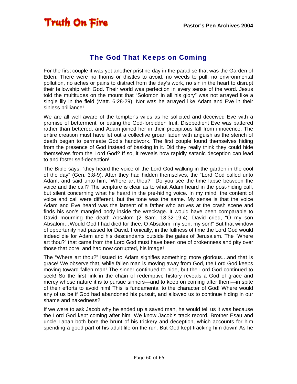#### The God That Keeps on Coming

<span id="page-59-0"></span>For the first couple it was yet another pristine day in the paradise that was the Garden of Eden. There were no thorns or thistles to avoid, no weeds to pull, no environmental pollution, no aches or pains to distract from the day's work, no sin in the heart to disrupt their fellowship with God. Their world was perfection in every sense of the word. Jesus told the multitudes on the mount that "Solomon in all his glory" was not arrayed like a single lily in the field (Matt. 6:28-29). Nor was he arrayed like Adam and Eve in their sinless brilliance!

We are all well aware of the tempter's wiles as he solicited and deceived Eve with a promise of betterment for eating the God-forbidden fruit. Disobedient Eve was battered rather than bettered, and Adam joined her in their precipitous fall from innocence. The entire creation must have let out a collective groan laden with anguish as the stench of death began to permeate God's handiwork. The first couple found themselves hiding from the presence of God instead of basking in it. Did they really think they could hide themselves from the Lord God? If so, it reveals how rapidly satanic deception can lead to and foster self-deception!

The Bible says: "they heard the voice of the Lord God walking in the garden in the cool of the day" (Gen. 3:8-9). After they had hidden themselves, the "Lord God called unto Adam, and said unto him, 'Where art thou?'" Do you see the time lapse between the voice and the call? The scripture is clear as to what Adam heard in the post-hiding call, but silent concerning what he heard in the pre-hiding voice. In my mind, the content of voice and call were different, but the tone was the same. My sense is that the voice Adam and Eve heard was the lament of a father who arrives at the crash scene and finds his son's mangled body inside the wreckage. It would have been comparable to David mourning the death Absalom (2 Sam. 18:32-19:4). David cried, "O my son Absalom...Would God I had died for thee, O Absalom, my son, my son!" But that window of opportunity had passed for David. Ironically, in the fullness of time the Lord God would indeed die for Adam and his descendants outside the gates of Jerusalem. The "Where art thou?" that came from the Lord God must have been one of brokenness and pity over those that bore, and had now corrupted, his image!

The "Where art thou?" issued to Adam signifies something more glorious…and that is grace! We observe that, while fallen man is moving away from God, the Lord God keeps moving toward fallen man! The sinner continued to hide, but the Lord God continued to seek! So the first link in the chain of redemptive history reveals a God of grace and mercy whose nature it is to pursue sinners—and to keep on coming after them—in spite of their efforts to avoid him! This is fundamental to the character of God! Where would any of us be if God had abandoned his pursuit, and allowed us to continue hiding in our shame and nakedness?

If we were to ask Jacob why he ended up a saved man, he would tell us it was because the Lord God kept coming after him! We know Jacob's track record. Brother Esau and uncle Laban both bore the brunt of his trickery and deception, which accounts for him spending a good part of his adult life on the run. But God kept tracking him down! As he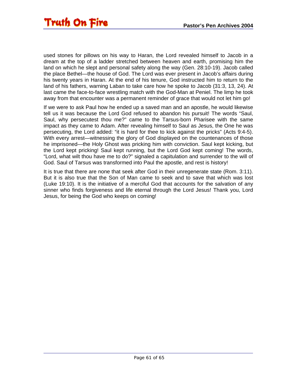used stones for pillows on his way to Haran, the Lord revealed himself to Jacob in a dream at the top of a ladder stretched between heaven and earth, promising him the land on which he slept and personal safety along the way (Gen. 28:10-19). Jacob called the place Bethel—the house of God. The Lord was ever present in Jacob's affairs during his twenty years in Haran. At the end of his tenure, God instructed him to return to the land of his fathers, warning Laban to take care how he spoke to Jacob (31:3, 13, 24). At last came the face-to-face wrestling match with the God-Man at Peniel. The limp he took away from that encounter was a permanent reminder of grace that would not let him go!

If we were to ask Paul how he ended up a saved man and an apostle, he would likewise tell us it was because the Lord God refused to abandon his pursuit! The words "Saul, Saul, why persecutest thou me?" came to the Tarsus-born Pharisee with the same impact as they came to Adam. After revealing himself to Saul as Jesus, the One he was persecuting, the Lord added: "it is hard for thee to kick against the pricks" (Acts 9:4-5). With every arrest—witnessing the glory of God displayed on the countenances of those he imprisoned—the Holy Ghost was pricking him with conviction. Saul kept kicking, but the Lord kept pricking! Saul kept running, but the Lord God kept coming! The words, "Lord, what wilt thou have me to do?" signaled a capitulation and surrender to the will of God. Saul of Tarsus was transformed into Paul the apostle, and rest is history!

It is true that there are none that seek after God in their unregenerate state (Rom. 3:11). But it is also true that the Son of Man came to seek and to save that which was lost (Luke 19:10). It is the initiative of a merciful God that accounts for the salvation of any sinner who finds forgiveness and life eternal through the Lord Jesus! Thank you, Lord Jesus, for being the God who keeps on coming!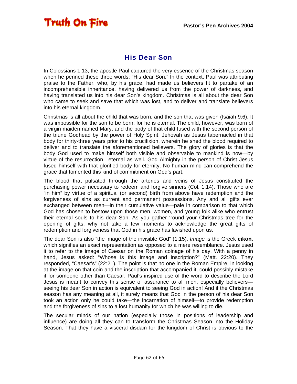#### His Dear Son

<span id="page-61-0"></span>In Colossians 1:13, the apostle Paul captured the very essence of the Christmas season when he penned these three words: "His dear Son." In the context, Paul was attributing praise to the Father, who, by his grace, had made us believers fit to partake of an incomprehensible inheritance, having delivered us from the power of darkness, and having translated us into his dear Son's kingdom. Christmas is all about the dear Son who came to seek and save that which was lost, and to deliver and translate believers into his eternal kingdom.

Christmas is all about the child that was born, and the son that was given (Isaiah 9:6). It was impossible for the son to be born, for he is eternal. The child, however, was born of a virgin maiden named Mary, and the body of that child fused with the second person of the triune Godhead by the power of Holy Spirit. Jehovah as Jesus tabernacled in that body for thirty-three years prior to his crucifixion, wherein he shed the blood required to deliver and to translate the aforementioned believers. The glory of glories is that the body God used to make himself both visible and observable to mankind is now—by virtue of the resurrection—eternal as well. God Almighty in the person of Christ Jesus fused himself with that glorified body for eternity. No human mind can comprehend the grace that fomented this kind of commitment on God's part.

The blood that pulsated through the arteries and veins of Jesus constituted the purchasing power necessary to redeem and forgive sinners (Col. 1:14). Those who are "in him" by virtue of a spiritual (or second) birth from above have redemption and the forgiveness of sins as current and permanent possessions. Any and all gifts ever exchanged between men—in their cumulative value—pale in comparison to that which God has chosen to bestow upon those men, women, and young folk alike who entrust their eternal souls to his dear Son. As you gather 'round your Christmas tree for the opening of gifts, why not take a few moments to acknowledge the great gifts of redemption and forgiveness that God in his grace has lavished upon us.

The dear Son is also "the image of the invisible God" (1:15). *Image* is the Greek **eikon**, which signifies an exact representation as opposed to a mere resemblance. Jesus used it to refer to the image of Caesar on the Roman coinage of his day. With a penny in hand, Jesus asked: "Whose is this image and inscription?" (Matt. 22:20). They responded, "Caesar's" (22:21). The point is that no one in the Roman Empire, in looking at the image on that coin and the inscription that accompanied it, could possibly mistake it for someone other than Caesar. Paul's inspired use of the word to describe the Lord Jesus is meant to convey this sense of assurance to all men, especially believers seeing his dear Son in action is equivalent to seeing God in action! And if the Christmas season has any meaning at all, it surely means that God in the person of his dear Son took an action only he could take—the incarnation of himself—to provide redemption and the forgiveness of sins to a lost humanity for which he was willing to die.

The secular minds of our nation (especially those in positions of leadership and influence) are doing all they can to transform the Christmas Season into the Holiday Season. That they have a visceral disdain for the kingdom of Christ is obvious to the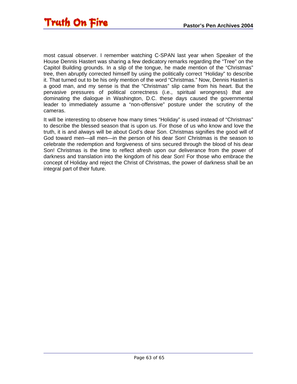most casual observer. I remember watching C-SPAN last year when Speaker of the House Dennis Hastert was sharing a few dedicatory remarks regarding the "Tree" on the Capitol Building grounds. In a slip of the tongue, he made mention of the "Christmas" tree, then abruptly corrected himself by using the politically correct "Holiday" to describe it. That turned out to be his only mention of the word "Christmas." Now, Dennis Hastert is a good man, and my sense is that the "Christmas" slip came from his heart. But the pervasive pressures of political correctness (i.e., spiritual wrongness) that are dominating the dialogue in Washington, D.C. these days caused the governmental leader to immediately assume a "non-offensive" posture under the scrutiny of the cameras.

It will be interesting to observe how many times "Holiday" is used instead of "Christmas" to describe the blessed season that is upon us. For those of us who know and love the truth, it is and always will be about God's dear Son. Christmas signifies the good will of God toward men—all men—in the person of his dear Son! Christmas is the season to celebrate the redemption and forgiveness of sins secured through the blood of his dear Son! Christmas is the time to reflect afresh upon our deliverance from the power of darkness and translation into the kingdom of his dear Son! For those who embrace the concept of Holiday and reject the Christ of Christmas, the power of darkness shall be an integral part of their future.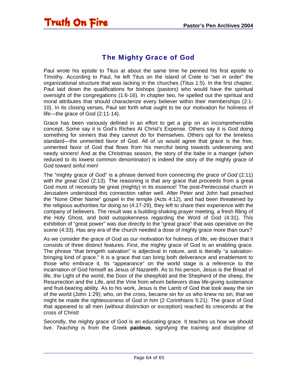### The Mighty Grace of God

<span id="page-63-0"></span>Paul wrote his epistle to Titus at about the same time he penned his first epistle to Timothy. According to Paul, he left Titus on the island of Crete to "set in order" the organizational structure that was lacking in the churches (Titus 1:5). In the first chapter, Paul laid down the qualifications for bishops (pastors) who would have the spiritual oversight of the congregations (1:6-16). In chapter two, he spelled out the spiritual and moral attributes that should characterize every believer within their memberships (2:1- 10). In its closing verses, Paul set forth what ought to be our motivation for holiness of life—the grace of God (2:11-14).

Grace has been variously defined in an effort to get a grip on an incomprehensible concept. Some say it is God's Riches At Christ's Expense. Others say it is God doing something for sinners that they cannot do for themselves. Others opt for the timeless standard—the unmerited favor of God. All of us would agree that grace is the free, unmerited favor of God that flows from his merciful being towards undeserving and needy sinners! And at the Christmas season, the story of the babe in a manger (when reduced to its lowest common denominator) is indeed the story of the mighty grace of God toward sinful men!

The "mighty grace of God" is a phrase derived from connecting *the grace of God* (2:11) with *the great God* (2:13). The reasoning is that any grace that proceeds from a great God must of necessity be great (mighty) in its essence! The post-Pentecostal church in Jerusalem understood this connection rather well. After Peter and John had preached the "None Other Name" gospel in the temple (Acts 4:12), and had been threatened by the religious authorities for doing so (4:17-29), they left to share their experience with the company of believers. The result was a building-shaking prayer meeting, a fresh filling of the Holy Ghost, and bold outspokenness regarding the Word of God (4:31). This exhibition of "great power" was due directly to the "great grace" that was operative on the scene (4:33). Has any era of the church needed a dose of mighty grace more than ours?

As we consider the grace of God as our motivation for holiness of life, we discover that it consists of three distinct features. First, the mighty grace of God is an enabling grace. The phrase "that bringeth salvation" is adjectival in nature, and is literally "a salvationbringing kind of grace." It is a grace that can bring both deliverance and enablement to those who embrace it. Its "appearance" on the world stage is a reference to the incarnation of God himself as Jesus of Nazareth. As to his person, Jesus is the Bread of life, the Light of the world, the Door of the sheepfold and the Shepherd of the sheep, the Resurrection and the Life, and the Vine from whom believers draw life-giving sustenance and fruit-bearing ability. As to his work, Jesus is the Lamb of God that took away the sin of the world (John 1:29); who, on the cross, became sin for us who knew no sin, that we might be made the righteousness of God in him (2 Corinthians 5:21). The grace of God that appeared to all men (without distinction or exception) reached its crescendo at the cross of Christ!

Secondly, the mighty grace of God is an educating grace. It teaches us how we should live. *Teaching* is from the Greek **paideuo**, signifying the training and discipline of